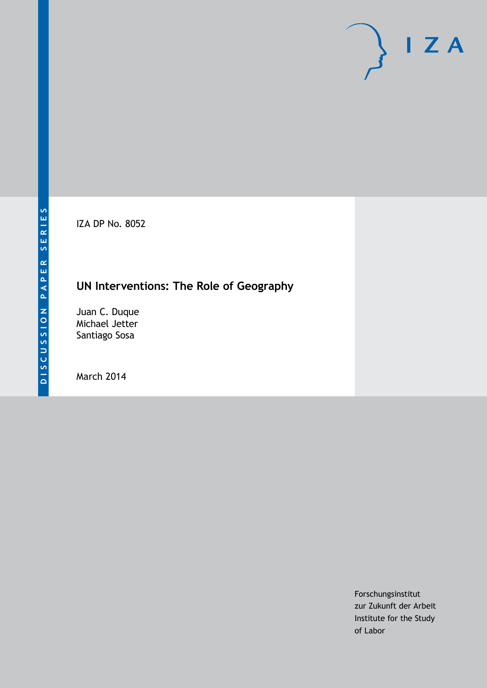IZA DP No. 8052

## **UN Interventions: The Role of Geography**

Juan C. Duque Michael Jetter Santiago Sosa

March 2014

Forschungsinstitut zur Zukunft der Arbeit Institute for the Study of Labor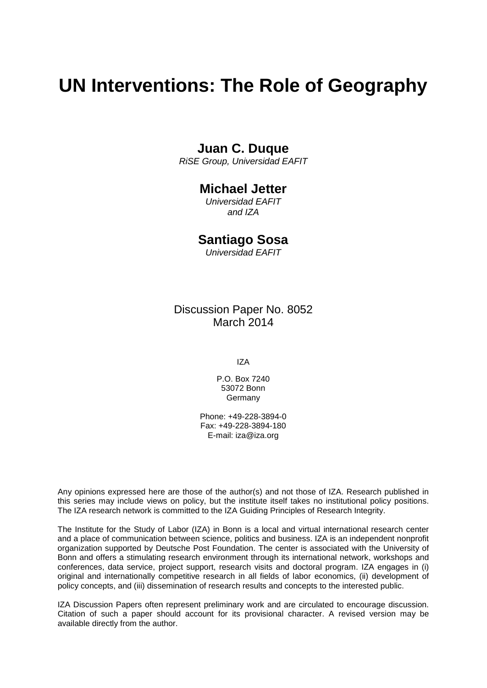# **UN Interventions: The Role of Geography**

## **Juan C. Duque**

*RiSE Group, Universidad EAFIT*

## **Michael Jetter**

*Universidad EAFIT and IZA*

## **Santiago Sosa**

*Universidad EAFIT*

Discussion Paper No. 8052 March 2014

IZA

P.O. Box 7240 53072 Bonn **Germany** 

Phone: +49-228-3894-0 Fax: +49-228-3894-180 E-mail: [iza@iza.org](mailto:iza@iza.org)

Any opinions expressed here are those of the author(s) and not those of IZA. Research published in this series may include views on policy, but the institute itself takes no institutional policy positions. The IZA research network is committed to the IZA Guiding Principles of Research Integrity.

The Institute for the Study of Labor (IZA) in Bonn is a local and virtual international research center and a place of communication between science, politics and business. IZA is an independent nonprofit organization supported by Deutsche Post Foundation. The center is associated with the University of Bonn and offers a stimulating research environment through its international network, workshops and conferences, data service, project support, research visits and doctoral program. IZA engages in (i) original and internationally competitive research in all fields of labor economics, (ii) development of policy concepts, and (iii) dissemination of research results and concepts to the interested public.

<span id="page-1-0"></span>IZA Discussion Papers often represent preliminary work and are circulated to encourage discussion. Citation of such a paper should account for its provisional character. A revised version may be available directly from the author.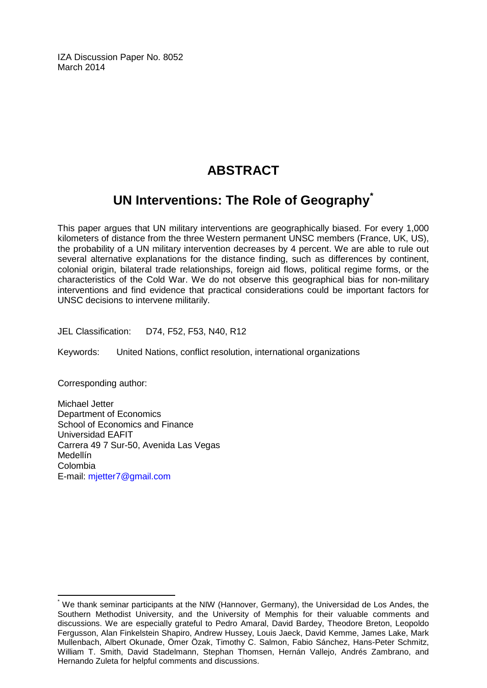IZA Discussion Paper No. 8052 March 2014

## **ABSTRACT**

## **UN Interventions: The Role of Geography[\\*](#page-1-0)**

This paper argues that UN military interventions are geographically biased. For every 1,000 kilometers of distance from the three Western permanent UNSC members (France, UK, US), the probability of a UN military intervention decreases by 4 percent. We are able to rule out several alternative explanations for the distance finding, such as differences by continent, colonial origin, bilateral trade relationships, foreign aid flows, political regime forms, or the characteristics of the Cold War. We do not observe this geographical bias for non-military interventions and find evidence that practical considerations could be important factors for UNSC decisions to intervene militarily.

JEL Classification: D74, F52, F53, N40, R12

Keywords: United Nations, conflict resolution, international organizations

Corresponding author:

Michael Jetter Department of Economics School of Economics and Finance Universidad EAFIT Carrera 49 7 Sur-50, Avenida Las Vegas Medellín Colombia E-mail: [mjetter7@gmail.com](mailto:mjetter7@gmail.com)

We thank seminar participants at the NIW (Hannover, Germany), the Universidad de Los Andes, the Southern Methodist University, and the University of Memphis for their valuable comments and discussions. We are especially grateful to Pedro Amaral, David Bardey, Theodore Breton, Leopoldo Fergusson, Alan Finkelstein Shapiro, Andrew Hussey, Louis Jaeck, David Kemme, James Lake, Mark Mullenbach, Albert Okunade, Ömer Özak, Timothy C. Salmon, Fabio Sánchez, Hans-Peter Schmitz, William T. Smith, David Stadelmann, Stephan Thomsen, Hernán Vallejo, Andrés Zambrano, and Hernando Zuleta for helpful comments and discussions.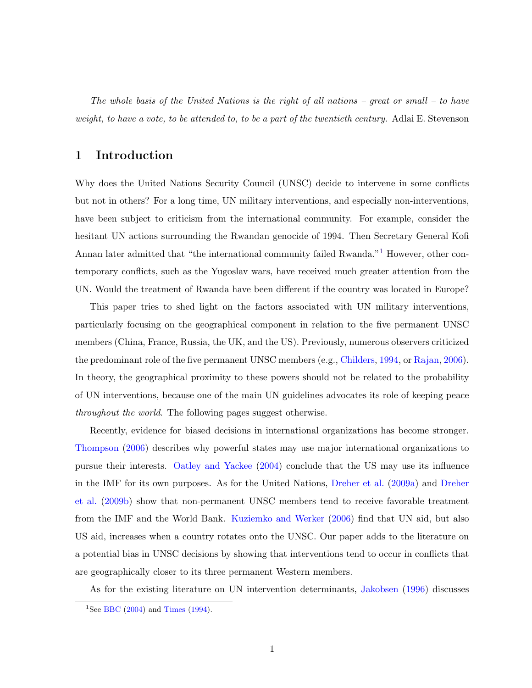The whole basis of the United Nations is the right of all nations – great or small – to have weight, to have a vote, to be attended to, to be a part of the twentieth century. Adlai E. Stevenson

### 1 Introduction

Why does the United Nations Security Council (UNSC) decide to intervene in some conflicts but not in others? For a long time, UN military interventions, and especially non-interventions, have been subject to criticism from the international community. For example, consider the hesitant UN actions surrounding the Rwandan genocide of 1994. Then Secretary General Kofi Annan later admitted that "the international community failed Rwanda."<sup>[1](#page-3-0)</sup> However, other contemporary conflicts, such as the Yugoslav wars, have received much greater attention from the UN. Would the treatment of Rwanda have been different if the country was located in Europe?

This paper tries to shed light on the factors associated with UN military interventions, particularly focusing on the geographical component in relation to the five permanent UNSC members (China, France, Russia, the UK, and the US). Previously, numerous observers criticized the predominant role of the five permanent UNSC members (e.g., [Childers,](#page-24-0) [1994,](#page-24-0) or [Rajan,](#page-26-0) [2006\)](#page-26-0). In theory, the geographical proximity to these powers should not be related to the probability of UN interventions, because one of the main UN guidelines advocates its role of keeping peace throughout the world. The following pages suggest otherwise.

Recently, evidence for biased decisions in international organizations has become stronger. [Thompson](#page-26-1) [\(2006\)](#page-26-1) describes why powerful states may use major international organizations to pursue their interests. [Oatley and Yackee](#page-25-0) [\(2004\)](#page-25-0) conclude that the US may use its influence in the IMF for its own purposes. As for the United Nations, [Dreher et al.](#page-24-1) [\(2009a\)](#page-24-1) and [Dreher](#page-24-2) [et al.](#page-24-2) [\(2009b\)](#page-24-2) show that non-permanent UNSC members tend to receive favorable treatment from the IMF and the World Bank. [Kuziemko and Werker](#page-25-1) [\(2006\)](#page-25-1) find that UN aid, but also US aid, increases when a country rotates onto the UNSC. Our paper adds to the literature on a potential bias in UNSC decisions by showing that interventions tend to occur in conflicts that are geographically closer to its three permanent Western members.

As for the existing literature on UN intervention determinants, [Jakobsen](#page-24-3) [\(1996\)](#page-24-3) discusses

<span id="page-3-0"></span><sup>&</sup>lt;sup>1</sup>See [BBC](#page-24-4) [\(2004\)](#page-24-4) and [Times](#page-26-2) [\(1994\)](#page-26-2).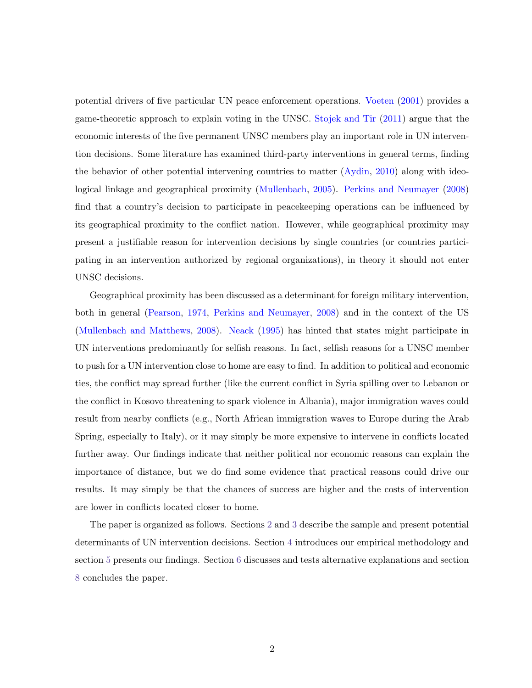potential drivers of five particular UN peace enforcement operations. [Voeten](#page-26-3) [\(2001\)](#page-26-3) provides a game-theoretic approach to explain voting in the UNSC. [Stojek and Tir](#page-26-4) [\(2011\)](#page-26-4) argue that the economic interests of the five permanent UNSC members play an important role in UN intervention decisions. Some literature has examined third-party interventions in general terms, finding the behavior of other potential intervening countries to matter [\(Aydin,](#page-23-0) [2010\)](#page-23-0) along with ideological linkage and geographical proximity [\(Mullenbach,](#page-25-2) [2005\)](#page-25-2). [Perkins and Neumayer](#page-25-3) [\(2008\)](#page-25-3) find that a country's decision to participate in peacekeeping operations can be influenced by its geographical proximity to the conflict nation. However, while geographical proximity may present a justifiable reason for intervention decisions by single countries (or countries participating in an intervention authorized by regional organizations), in theory it should not enter UNSC decisions.

Geographical proximity has been discussed as a determinant for foreign military intervention, both in general [\(Pearson,](#page-25-4) [1974,](#page-25-4) [Perkins and Neumayer,](#page-25-3) [2008\)](#page-25-3) and in the context of the US [\(Mullenbach and Matthews,](#page-25-5) [2008\)](#page-25-5). [Neack](#page-25-6) [\(1995\)](#page-25-6) has hinted that states might participate in UN interventions predominantly for selfish reasons. In fact, selfish reasons for a UNSC member to push for a UN intervention close to home are easy to find. In addition to political and economic ties, the conflict may spread further (like the current conflict in Syria spilling over to Lebanon or the conflict in Kosovo threatening to spark violence in Albania), major immigration waves could result from nearby conflicts (e.g., North African immigration waves to Europe during the Arab Spring, especially to Italy), or it may simply be more expensive to intervene in conflicts located further away. Our findings indicate that neither political nor economic reasons can explain the importance of distance, but we do find some evidence that practical reasons could drive our results. It may simply be that the chances of success are higher and the costs of intervention are lower in conflicts located closer to home.

The paper is organized as follows. Sections [2](#page-5-0) and [3](#page-7-0) describe the sample and present potential determinants of UN intervention decisions. Section [4](#page-10-0) introduces our empirical methodology and section [5](#page-10-1) presents our findings. Section [6](#page-12-0) discusses and tests alternative explanations and section [8](#page-22-0) concludes the paper.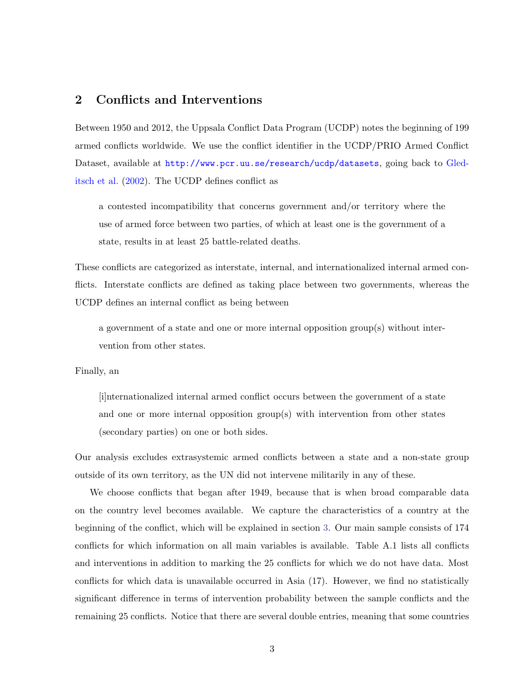## <span id="page-5-0"></span>2 Conflicts and Interventions

Between 1950 and 2012, the Uppsala Conflict Data Program (UCDP) notes the beginning of 199 armed conflicts worldwide. We use the conflict identifier in the UCDP/PRIO Armed Conflict Dataset, available at <http://www.pcr.uu.se/research/ucdp/datasets>, going back to [Gled](#page-24-5)[itsch et al.](#page-24-5) [\(2002\)](#page-24-5). The UCDP defines conflict as

a contested incompatibility that concerns government and/or territory where the use of armed force between two parties, of which at least one is the government of a state, results in at least 25 battle-related deaths.

These conflicts are categorized as interstate, internal, and internationalized internal armed conflicts. Interstate conflicts are defined as taking place between two governments, whereas the UCDP defines an internal conflict as being between

a government of a state and one or more internal opposition group(s) without intervention from other states.

Finally, an

[i]nternationalized internal armed conflict occurs between the government of a state and one or more internal opposition group(s) with intervention from other states (secondary parties) on one or both sides.

Our analysis excludes extrasystemic armed conflicts between a state and a non-state group outside of its own territory, as the UN did not intervene militarily in any of these.

We choose conflicts that began after 1949, because that is when broad comparable data on the country level becomes available. We capture the characteristics of a country at the beginning of the conflict, which will be explained in section [3.](#page-7-0) Our main sample consists of 174 conflicts for which information on all main variables is available. Table A.1 lists all conflicts and interventions in addition to marking the 25 conflicts for which we do not have data. Most conflicts for which data is unavailable occurred in Asia (17). However, we find no statistically significant difference in terms of intervention probability between the sample conflicts and the remaining 25 conflicts. Notice that there are several double entries, meaning that some countries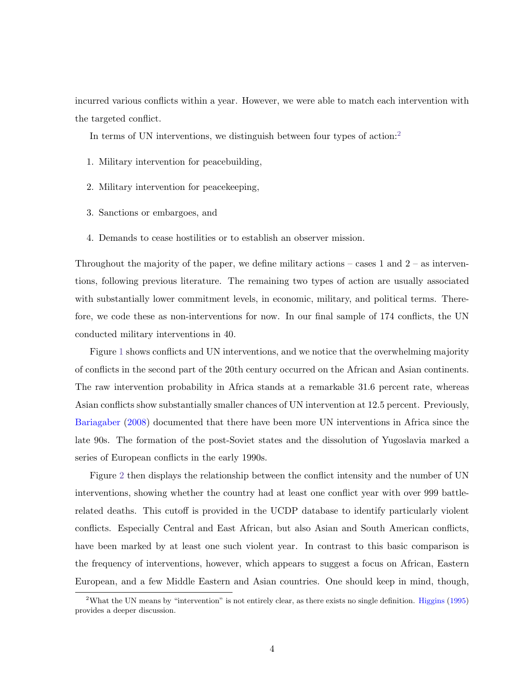incurred various conflicts within a year. However, we were able to match each intervention with the targeted conflict.

In terms of UN interventions, we distinguish between four types of action:<sup>[2](#page-6-0)</sup>

- 1. Military intervention for peacebuilding,
- 2. Military intervention for peacekeeping,
- 3. Sanctions or embargoes, and
- 4. Demands to cease hostilities or to establish an observer mission.

Throughout the majority of the paper, we define military actions – cases 1 and  $2$  – as interventions, following previous literature. The remaining two types of action are usually associated with substantially lower commitment levels, in economic, military, and political terms. Therefore, we code these as non-interventions for now. In our final sample of 174 conflicts, the UN conducted military interventions in 40.

Figure [1](#page-27-0) shows conflicts and UN interventions, and we notice that the overwhelming majority of conflicts in the second part of the 20th century occurred on the African and Asian continents. The raw intervention probability in Africa stands at a remarkable 31.6 percent rate, whereas Asian conflicts show substantially smaller chances of UN intervention at 12.5 percent. Previously, [Bariagaber](#page-24-6) [\(2008\)](#page-24-6) documented that there have been more UN interventions in Africa since the late 90s. The formation of the post-Soviet states and the dissolution of Yugoslavia marked a series of European conflicts in the early 1990s.

Figure [2](#page-27-1) then displays the relationship between the conflict intensity and the number of UN interventions, showing whether the country had at least one conflict year with over 999 battlerelated deaths. This cutoff is provided in the UCDP database to identify particularly violent conflicts. Especially Central and East African, but also Asian and South American conflicts, have been marked by at least one such violent year. In contrast to this basic comparison is the frequency of interventions, however, which appears to suggest a focus on African, Eastern European, and a few Middle Eastern and Asian countries. One should keep in mind, though,

<span id="page-6-0"></span><sup>2</sup>What the UN means by "intervention" is not entirely clear, as there exists no single definition. [Higgins](#page-24-7) [\(1995\)](#page-24-7) provides a deeper discussion.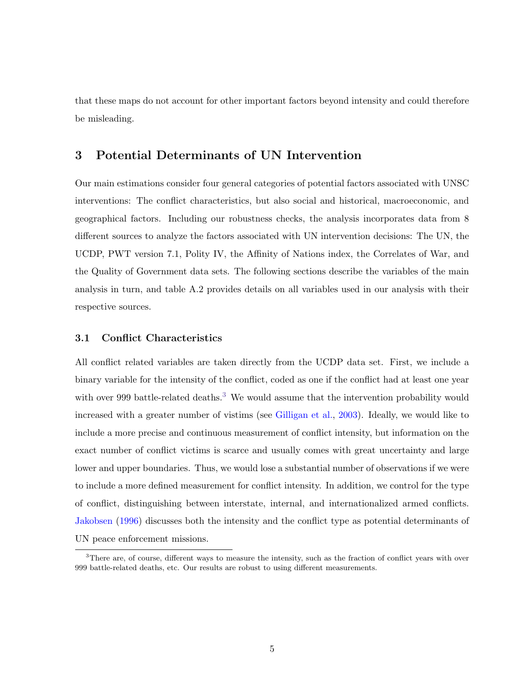that these maps do not account for other important factors beyond intensity and could therefore be misleading.

## <span id="page-7-0"></span>3 Potential Determinants of UN Intervention

Our main estimations consider four general categories of potential factors associated with UNSC interventions: The conflict characteristics, but also social and historical, macroeconomic, and geographical factors. Including our robustness checks, the analysis incorporates data from 8 different sources to analyze the factors associated with UN intervention decisions: The UN, the UCDP, PWT version 7.1, Polity IV, the Affinity of Nations index, the Correlates of War, and the Quality of Government data sets. The following sections describe the variables of the main analysis in turn, and table A.2 provides details on all variables used in our analysis with their respective sources.

#### 3.1 Conflict Characteristics

All conflict related variables are taken directly from the UCDP data set. First, we include a binary variable for the intensity of the conflict, coded as one if the conflict had at least one year with over 999 battle-related deaths.<sup>[3](#page-7-1)</sup> We would assume that the intervention probability would increased with a greater number of vistims (see [Gilligan et al.,](#page-24-8) [2003\)](#page-24-8). Ideally, we would like to include a more precise and continuous measurement of conflict intensity, but information on the exact number of conflict victims is scarce and usually comes with great uncertainty and large lower and upper boundaries. Thus, we would lose a substantial number of observations if we were to include a more defined measurement for conflict intensity. In addition, we control for the type of conflict, distinguishing between interstate, internal, and internationalized armed conflicts. [Jakobsen](#page-24-3) [\(1996\)](#page-24-3) discusses both the intensity and the conflict type as potential determinants of UN peace enforcement missions.

<span id="page-7-1"></span><sup>&</sup>lt;sup>3</sup>There are, of course, different ways to measure the intensity, such as the fraction of conflict years with over 999 battle-related deaths, etc. Our results are robust to using different measurements.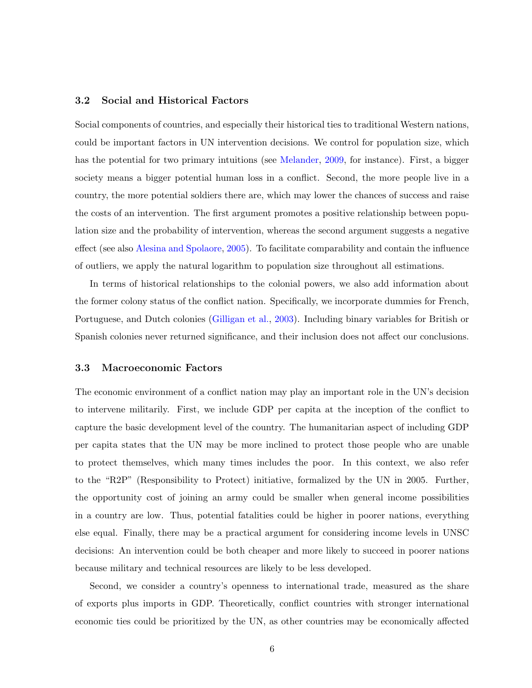#### 3.2 Social and Historical Factors

Social components of countries, and especially their historical ties to traditional Western nations, could be important factors in UN intervention decisions. We control for population size, which has the potential for two primary intuitions (see [Melander,](#page-25-7) [2009,](#page-25-7) for instance). First, a bigger society means a bigger potential human loss in a conflict. Second, the more people live in a country, the more potential soldiers there are, which may lower the chances of success and raise the costs of an intervention. The first argument promotes a positive relationship between population size and the probability of intervention, whereas the second argument suggests a negative effect (see also [Alesina and Spolaore,](#page-23-1) [2005\)](#page-23-1). To facilitate comparability and contain the influence of outliers, we apply the natural logarithm to population size throughout all estimations.

In terms of historical relationships to the colonial powers, we also add information about the former colony status of the conflict nation. Specifically, we incorporate dummies for French, Portuguese, and Dutch colonies [\(Gilligan et al.,](#page-24-8) [2003\)](#page-24-8). Including binary variables for British or Spanish colonies never returned significance, and their inclusion does not affect our conclusions.

#### 3.3 Macroeconomic Factors

The economic environment of a conflict nation may play an important role in the UN's decision to intervene militarily. First, we include GDP per capita at the inception of the conflict to capture the basic development level of the country. The humanitarian aspect of including GDP per capita states that the UN may be more inclined to protect those people who are unable to protect themselves, which many times includes the poor. In this context, we also refer to the "R2P" (Responsibility to Protect) initiative, formalized by the UN in 2005. Further, the opportunity cost of joining an army could be smaller when general income possibilities in a country are low. Thus, potential fatalities could be higher in poorer nations, everything else equal. Finally, there may be a practical argument for considering income levels in UNSC decisions: An intervention could be both cheaper and more likely to succeed in poorer nations because military and technical resources are likely to be less developed.

Second, we consider a country's openness to international trade, measured as the share of exports plus imports in GDP. Theoretically, conflict countries with stronger international economic ties could be prioritized by the UN, as other countries may be economically affected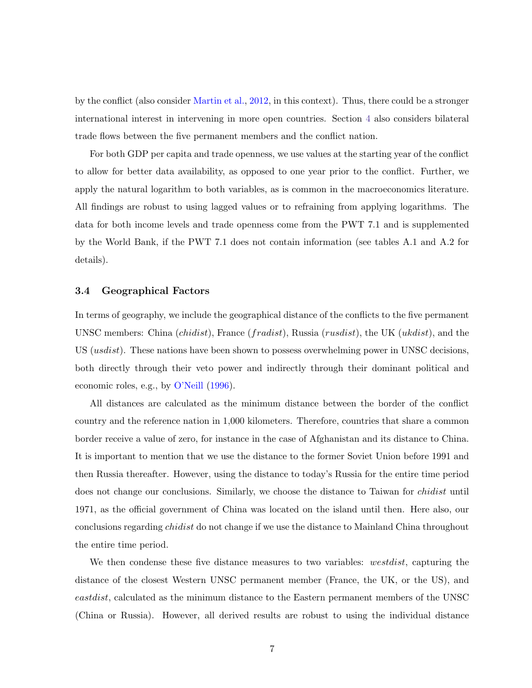by the conflict (also consider [Martin et al.,](#page-25-8) [2012,](#page-25-8) in this context). Thus, there could be a stronger international interest in intervening in more open countries. Section [4](#page-33-0) also considers bilateral trade flows between the five permanent members and the conflict nation.

For both GDP per capita and trade openness, we use values at the starting year of the conflict to allow for better data availability, as opposed to one year prior to the conflict. Further, we apply the natural logarithm to both variables, as is common in the macroeconomics literature. All findings are robust to using lagged values or to refraining from applying logarithms. The data for both income levels and trade openness come from the PWT 7.1 and is supplemented by the World Bank, if the PWT 7.1 does not contain information (see tables A.1 and A.2 for details).

#### 3.4 Geographical Factors

In terms of geography, we include the geographical distance of the conflicts to the five permanent UNSC members: China (*chidist*), France (*fradist*), Russia (*rusdist*), the UK (*ukdist*), and the US *(usdist)*. These nations have been shown to possess overwhelming power in UNSC decisions, both directly through their veto power and indirectly through their dominant political and economic roles, e.g., by [O'Neill](#page-25-9) [\(1996\)](#page-25-9).

All distances are calculated as the minimum distance between the border of the conflict country and the reference nation in 1,000 kilometers. Therefore, countries that share a common border receive a value of zero, for instance in the case of Afghanistan and its distance to China. It is important to mention that we use the distance to the former Soviet Union before 1991 and then Russia thereafter. However, using the distance to today's Russia for the entire time period does not change our conclusions. Similarly, we choose the distance to Taiwan for *chidist* until 1971, as the official government of China was located on the island until then. Here also, our conclusions regarding chidist do not change if we use the distance to Mainland China throughout the entire time period.

We then condense these five distance measures to two variables: *westdist*, capturing the distance of the closest Western UNSC permanent member (France, the UK, or the US), and eastdist, calculated as the minimum distance to the Eastern permanent members of the UNSC (China or Russia). However, all derived results are robust to using the individual distance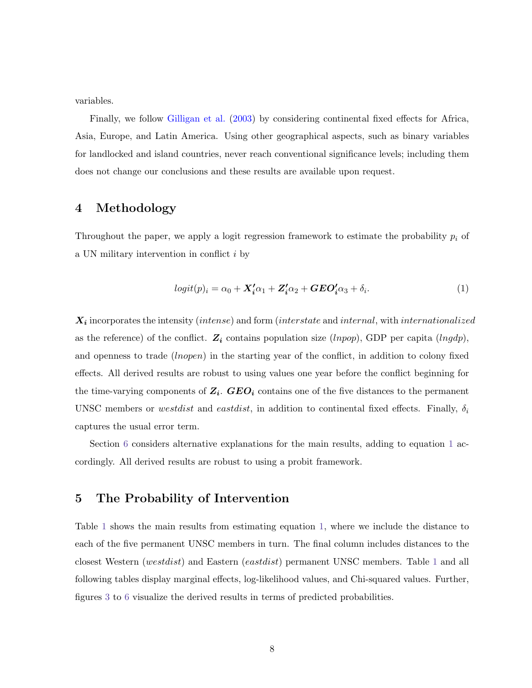variables.

Finally, we follow [Gilligan et al.](#page-24-8) [\(2003\)](#page-24-8) by considering continental fixed effects for Africa, Asia, Europe, and Latin America. Using other geographical aspects, such as binary variables for landlocked and island countries, never reach conventional significance levels; including them does not change our conclusions and these results are available upon request.

### <span id="page-10-0"></span>4 Methodology

Throughout the paper, we apply a logit regression framework to estimate the probability  $p_i$  of a UN military intervention in conflict i by

<span id="page-10-2"></span>
$$
logit(p)_i = \alpha_0 + \mathbf{X}_i' \alpha_1 + \mathbf{Z}_i' \alpha_2 + \mathbf{GEO}_i' \alpha_3 + \delta_i.
$$
 (1)

 $\boldsymbol{X_i}$  incorporates the intensity (intense) and form (interstate and internal, with internationalized as the reference) of the conflict.  $\mathbf{Z_i}$  contains population size (lnpop), GDP per capita (lngdp), and openness to trade (*lnopen*) in the starting year of the conflict, in addition to colony fixed effects. All derived results are robust to using values one year before the conflict beginning for the time-varying components of  $Z_i$ .  $GEO_i$  contains one of the five distances to the permanent UNSC members or westdist and eastdist, in addition to continental fixed effects. Finally,  $\delta_i$ captures the usual error term.

Section [6](#page-12-0) considers alternative explanations for the main results, adding to equation [1](#page-10-2) accordingly. All derived results are robust to using a probit framework.

## <span id="page-10-1"></span>5 The Probability of Intervention

Table [1](#page-30-0) shows the main results from estimating equation [1,](#page-10-2) where we include the distance to each of the five permanent UNSC members in turn. The final column includes distances to the closest Western (westdist) and Eastern (eastdist) permanent UNSC members. Table [1](#page-30-0) and all following tables display marginal effects, log-likelihood values, and Chi-squared values. Further, figures [3](#page-28-0) to [6](#page-29-0) visualize the derived results in terms of predicted probabilities.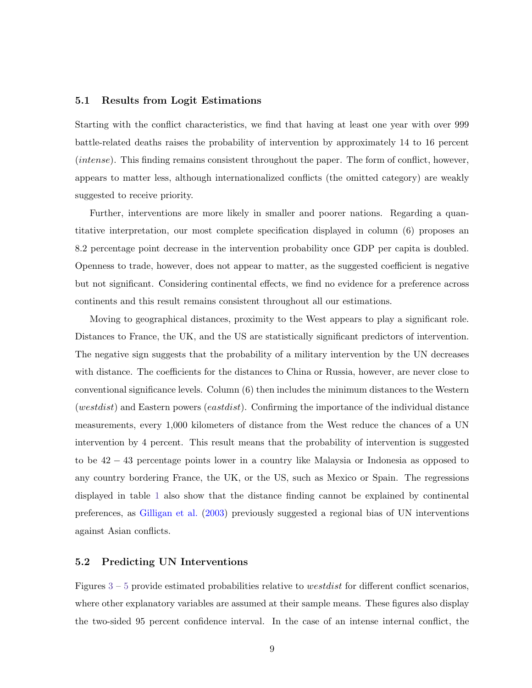#### 5.1 Results from Logit Estimations

Starting with the conflict characteristics, we find that having at least one year with over 999 battle-related deaths raises the probability of intervention by approximately 14 to 16 percent (intense). This finding remains consistent throughout the paper. The form of conflict, however, appears to matter less, although internationalized conflicts (the omitted category) are weakly suggested to receive priority.

Further, interventions are more likely in smaller and poorer nations. Regarding a quantitative interpretation, our most complete specification displayed in column (6) proposes an 8.2 percentage point decrease in the intervention probability once GDP per capita is doubled. Openness to trade, however, does not appear to matter, as the suggested coefficient is negative but not significant. Considering continental effects, we find no evidence for a preference across continents and this result remains consistent throughout all our estimations.

Moving to geographical distances, proximity to the West appears to play a significant role. Distances to France, the UK, and the US are statistically significant predictors of intervention. The negative sign suggests that the probability of a military intervention by the UN decreases with distance. The coefficients for the distances to China or Russia, however, are never close to conventional significance levels. Column (6) then includes the minimum distances to the Western (westdist) and Eastern powers (eastdist). Confirming the importance of the individual distance measurements, every 1,000 kilometers of distance from the West reduce the chances of a UN intervention by 4 percent. This result means that the probability of intervention is suggested to be 42 − 43 percentage points lower in a country like Malaysia or Indonesia as opposed to any country bordering France, the UK, or the US, such as Mexico or Spain. The regressions displayed in table [1](#page-30-0) also show that the distance finding cannot be explained by continental preferences, as [Gilligan et al.](#page-24-8) [\(2003\)](#page-24-8) previously suggested a regional bias of UN interventions against Asian conflicts.

#### 5.2 Predicting UN Interventions

Figures  $3 - 5$  $3 - 5$  $3 - 5$  provide estimated probabilities relative to *westdist* for different conflict scenarios, where other explanatory variables are assumed at their sample means. These figures also display the two-sided 95 percent confidence interval. In the case of an intense internal conflict, the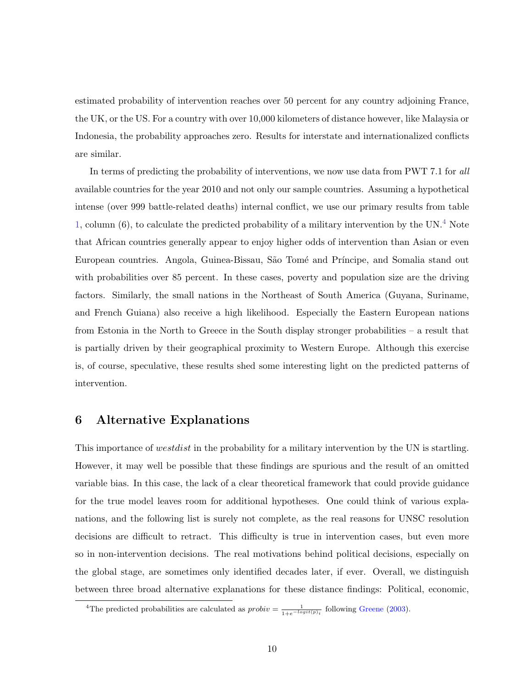estimated probability of intervention reaches over 50 percent for any country adjoining France, the UK, or the US. For a country with over 10,000 kilometers of distance however, like Malaysia or Indonesia, the probability approaches zero. Results for interstate and internationalized conflicts are similar.

In terms of predicting the probability of interventions, we now use data from PWT 7.1 for all available countries for the year 2010 and not only our sample countries. Assuming a hypothetical intense (over 999 battle-related deaths) internal conflict, we use our primary results from table [1,](#page-30-0) column (6), to calculate the predicted probability of a military intervention by the UN.<sup>[4](#page-12-1)</sup> Note that African countries generally appear to enjoy higher odds of intervention than Asian or even European countries. Angola, Guinea-Bissau, São Tomé and Príncipe, and Somalia stand out with probabilities over 85 percent. In these cases, poverty and population size are the driving factors. Similarly, the small nations in the Northeast of South America (Guyana, Suriname, and French Guiana) also receive a high likelihood. Especially the Eastern European nations from Estonia in the North to Greece in the South display stronger probabilities – a result that is partially driven by their geographical proximity to Western Europe. Although this exercise is, of course, speculative, these results shed some interesting light on the predicted patterns of intervention.

## <span id="page-12-0"></span>6 Alternative Explanations

This importance of *westdist* in the probability for a military intervention by the UN is startling. However, it may well be possible that these findings are spurious and the result of an omitted variable bias. In this case, the lack of a clear theoretical framework that could provide guidance for the true model leaves room for additional hypotheses. One could think of various explanations, and the following list is surely not complete, as the real reasons for UNSC resolution decisions are difficult to retract. This difficulty is true in intervention cases, but even more so in non-intervention decisions. The real motivations behind political decisions, especially on the global stage, are sometimes only identified decades later, if ever. Overall, we distinguish between three broad alternative explanations for these distance findings: Political, economic,

<span id="page-12-1"></span><sup>&</sup>lt;sup>4</sup>The predicted probabilities are calculated as  $probiv = \frac{1}{1+e^{-logit(p_i)}}$  following [Greene](#page-24-9) [\(2003\)](#page-24-9).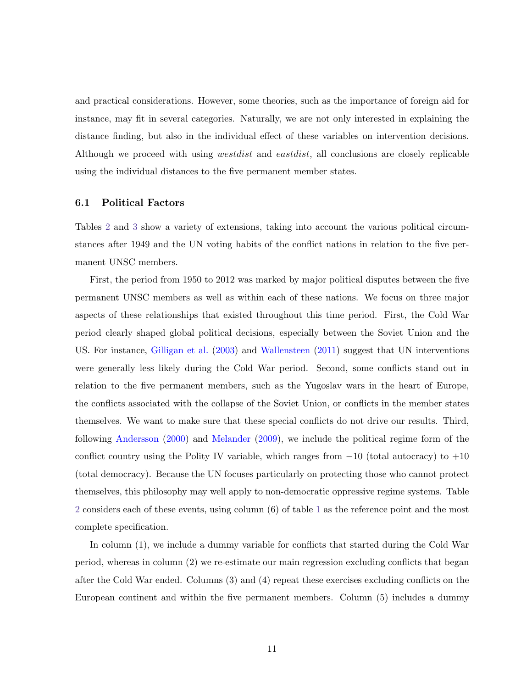and practical considerations. However, some theories, such as the importance of foreign aid for instance, may fit in several categories. Naturally, we are not only interested in explaining the distance finding, but also in the individual effect of these variables on intervention decisions. Although we proceed with using *westdist* and *eastdist*, all conclusions are closely replicable using the individual distances to the five permanent member states.

#### 6.1 Political Factors

Tables [2](#page-31-0) and [3](#page-32-0) show a variety of extensions, taking into account the various political circumstances after 1949 and the UN voting habits of the conflict nations in relation to the five permanent UNSC members.

First, the period from 1950 to 2012 was marked by major political disputes between the five permanent UNSC members as well as within each of these nations. We focus on three major aspects of these relationships that existed throughout this time period. First, the Cold War period clearly shaped global political decisions, especially between the Soviet Union and the US. For instance, [Gilligan et al.](#page-24-8) [\(2003\)](#page-24-8) and [Wallensteen](#page-26-5) [\(2011\)](#page-26-5) suggest that UN interventions were generally less likely during the Cold War period. Second, some conflicts stand out in relation to the five permanent members, such as the Yugoslav wars in the heart of Europe, the conflicts associated with the collapse of the Soviet Union, or conflicts in the member states themselves. We want to make sure that these special conflicts do not drive our results. Third, following [Andersson](#page-23-2) [\(2000\)](#page-23-2) and [Melander](#page-25-7) [\(2009\)](#page-25-7), we include the political regime form of the conflict country using the Polity IV variable, which ranges from  $-10$  (total autocracy) to  $+10$ (total democracy). Because the UN focuses particularly on protecting those who cannot protect themselves, this philosophy may well apply to non-democratic oppressive regime systems. Table [2](#page-31-0) considers each of these events, using column (6) of table [1](#page-30-0) as the reference point and the most complete specification.

In column (1), we include a dummy variable for conflicts that started during the Cold War period, whereas in column (2) we re-estimate our main regression excluding conflicts that began after the Cold War ended. Columns (3) and (4) repeat these exercises excluding conflicts on the European continent and within the five permanent members. Column (5) includes a dummy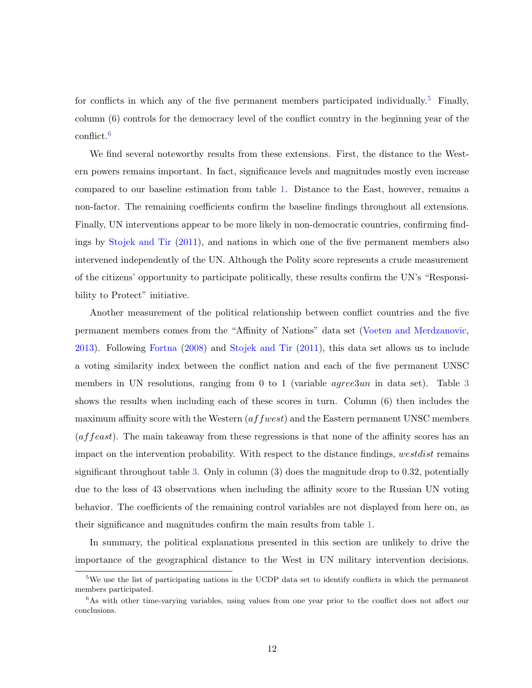for conflicts in which any of the five permanent members participated individually.<sup>[5](#page-14-0)</sup> Finally, column (6) controls for the democracy level of the conflict country in the beginning year of the conflict.[6](#page-14-1)

We find several noteworthy results from these extensions. First, the distance to the Western powers remains important. In fact, significance levels and magnitudes mostly even increase compared to our baseline estimation from table [1.](#page-30-0) Distance to the East, however, remains a non-factor. The remaining coefficients confirm the baseline findings throughout all extensions. Finally, UN interventions appear to be more likely in non-democratic countries, confirming findings by [Stojek and Tir](#page-26-4) [\(2011\)](#page-26-4), and nations in which one of the five permanent members also intervened independently of the UN. Although the Polity score represents a crude measurement of the citizens' opportunity to participate politically, these results confirm the UN's "Responsibility to Protect" initiative.

Another measurement of the political relationship between conflict countries and the five permanent members comes from the "Affinity of Nations" data set [\(Voeten and Merdzanovic,](#page-26-6) [2013\)](#page-26-6). Following [Fortna](#page-24-10) [\(2008\)](#page-24-10) and [Stojek and Tir](#page-26-4) [\(2011\)](#page-26-4), this data set allows us to include a voting similarity index between the conflict nation and each of the five permanent UNSC members in UN resolutions, ranging from 0 to 1 (variable *agree[3](#page-32-0)un* in data set). Table 3 shows the results when including each of these scores in turn. Column (6) then includes the maximum affinity score with the Western  $(affwest)$  and the Eastern permanent UNSC members (affeast). The main takeaway from these regressions is that none of the affinity scores has an impact on the intervention probability. With respect to the distance findings, westdist remains significant throughout table [3.](#page-32-0) Only in column (3) does the magnitude drop to 0.32, potentially due to the loss of 43 observations when including the affinity score to the Russian UN voting behavior. The coefficients of the remaining control variables are not displayed from here on, as their significance and magnitudes confirm the main results from table [1.](#page-30-0)

In summary, the political explanations presented in this section are unlikely to drive the importance of the geographical distance to the West in UN military intervention decisions.

<span id="page-14-0"></span><sup>&</sup>lt;sup>5</sup>We use the list of participating nations in the UCDP data set to identify conflicts in which the permanent members participated.

<span id="page-14-1"></span><sup>&</sup>lt;sup>6</sup>As with other time-varying variables, using values from one year prior to the conflict does not affect our conclusions.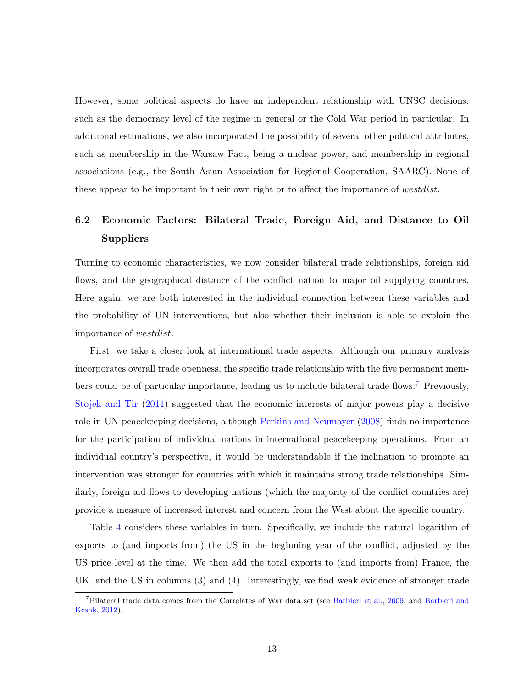However, some political aspects do have an independent relationship with UNSC decisions, such as the democracy level of the regime in general or the Cold War period in particular. In additional estimations, we also incorporated the possibility of several other political attributes, such as membership in the Warsaw Pact, being a nuclear power, and membership in regional associations (e.g., the South Asian Association for Regional Cooperation, SAARC). None of these appear to be important in their own right or to affect the importance of westdist.

## 6.2 Economic Factors: Bilateral Trade, Foreign Aid, and Distance to Oil Suppliers

Turning to economic characteristics, we now consider bilateral trade relationships, foreign aid flows, and the geographical distance of the conflict nation to major oil supplying countries. Here again, we are both interested in the individual connection between these variables and the probability of UN interventions, but also whether their inclusion is able to explain the importance of westdist.

First, we take a closer look at international trade aspects. Although our primary analysis incorporates overall trade openness, the specific trade relationship with the five permanent mem-bers could be of particular importance, leading us to include bilateral trade flows.<sup>[7](#page-15-0)</sup> Previously, [Stojek and Tir](#page-26-4) [\(2011\)](#page-26-4) suggested that the economic interests of major powers play a decisive role in UN peacekeeping decisions, although [Perkins and Neumayer](#page-25-3) [\(2008\)](#page-25-3) finds no importance for the participation of individual nations in international peacekeeping operations. From an individual country's perspective, it would be understandable if the inclination to promote an intervention was stronger for countries with which it maintains strong trade relationships. Similarly, foreign aid flows to developing nations (which the majority of the conflict countries are) provide a measure of increased interest and concern from the West about the specific country.

Table [4](#page-33-0) considers these variables in turn. Specifically, we include the natural logarithm of exports to (and imports from) the US in the beginning year of the conflict, adjusted by the US price level at the time. We then add the total exports to (and imports from) France, the UK, and the US in columns (3) and (4). Interestingly, we find weak evidence of stronger trade

<span id="page-15-0"></span><sup>7</sup>Bilateral trade data comes from the Correlates of War data set (see [Barbieri et al.,](#page-24-11) [2009,](#page-24-11) and [Barbieri and](#page-23-3) [Keshk,](#page-23-3) [2012\)](#page-23-3).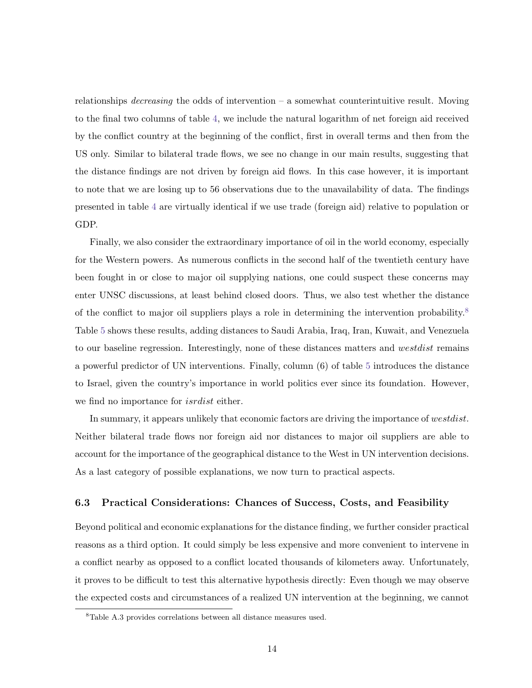relationships *decreasing* the odds of intervention – a somewhat counterintuitive result. Moving to the final two columns of table [4,](#page-33-0) we include the natural logarithm of net foreign aid received by the conflict country at the beginning of the conflict, first in overall terms and then from the US only. Similar to bilateral trade flows, we see no change in our main results, suggesting that the distance findings are not driven by foreign aid flows. In this case however, it is important to note that we are losing up to 56 observations due to the unavailability of data. The findings presented in table [4](#page-33-0) are virtually identical if we use trade (foreign aid) relative to population or GDP.

Finally, we also consider the extraordinary importance of oil in the world economy, especially for the Western powers. As numerous conflicts in the second half of the twentieth century have been fought in or close to major oil supplying nations, one could suspect these concerns may enter UNSC discussions, at least behind closed doors. Thus, we also test whether the distance of the conflict to major oil suppliers plays a role in determining the intervention probability.<sup>[8](#page-16-0)</sup> Table [5](#page-34-0) shows these results, adding distances to Saudi Arabia, Iraq, Iran, Kuwait, and Venezuela to our baseline regression. Interestingly, none of these distances matters and westdist remains a powerful predictor of UN interventions. Finally, column (6) of table [5](#page-34-0) introduces the distance to Israel, given the country's importance in world politics ever since its foundation. However, we find no importance for isrdist either.

In summary, it appears unlikely that economic factors are driving the importance of westdist. Neither bilateral trade flows nor foreign aid nor distances to major oil suppliers are able to account for the importance of the geographical distance to the West in UN intervention decisions. As a last category of possible explanations, we now turn to practical aspects.

#### 6.3 Practical Considerations: Chances of Success, Costs, and Feasibility

Beyond political and economic explanations for the distance finding, we further consider practical reasons as a third option. It could simply be less expensive and more convenient to intervene in a conflict nearby as opposed to a conflict located thousands of kilometers away. Unfortunately, it proves to be difficult to test this alternative hypothesis directly: Even though we may observe the expected costs and circumstances of a realized UN intervention at the beginning, we cannot

<span id="page-16-0"></span><sup>8</sup>Table A.3 provides correlations between all distance measures used.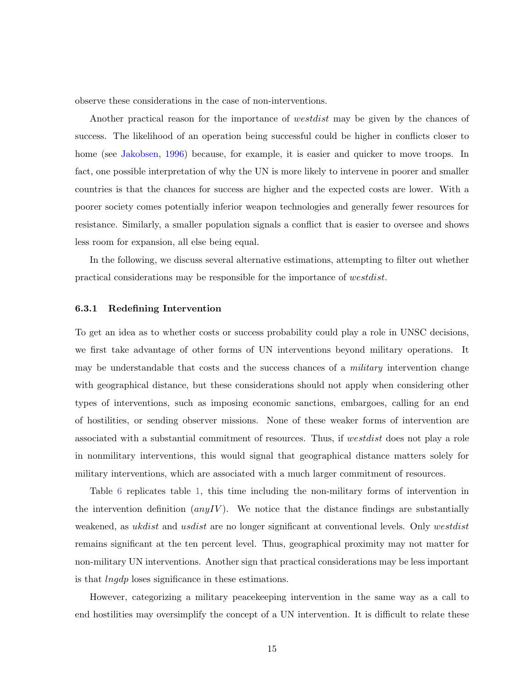observe these considerations in the case of non-interventions.

Another practical reason for the importance of *westdist* may be given by the chances of success. The likelihood of an operation being successful could be higher in conflicts closer to home (see [Jakobsen,](#page-24-3) [1996\)](#page-24-3) because, for example, it is easier and quicker to move troops. In fact, one possible interpretation of why the UN is more likely to intervene in poorer and smaller countries is that the chances for success are higher and the expected costs are lower. With a poorer society comes potentially inferior weapon technologies and generally fewer resources for resistance. Similarly, a smaller population signals a conflict that is easier to oversee and shows less room for expansion, all else being equal.

In the following, we discuss several alternative estimations, attempting to filter out whether practical considerations may be responsible for the importance of westdist.

#### 6.3.1 Redefining Intervention

To get an idea as to whether costs or success probability could play a role in UNSC decisions, we first take advantage of other forms of UN interventions beyond military operations. It may be understandable that costs and the success chances of a *military* intervention change with geographical distance, but these considerations should not apply when considering other types of interventions, such as imposing economic sanctions, embargoes, calling for an end of hostilities, or sending observer missions. None of these weaker forms of intervention are associated with a substantial commitment of resources. Thus, if westdist does not play a role in nonmilitary interventions, this would signal that geographical distance matters solely for military interventions, which are associated with a much larger commitment of resources.

Table [6](#page-35-0) replicates table [1,](#page-30-0) this time including the non-military forms of intervention in the intervention definition  $(any IV)$ . We notice that the distance findings are substantially weakened, as *ukdist* and *usdist* are no longer significant at conventional levels. Only westdist remains significant at the ten percent level. Thus, geographical proximity may not matter for non-military UN interventions. Another sign that practical considerations may be less important is that lngdp loses significance in these estimations.

However, categorizing a military peacekeeping intervention in the same way as a call to end hostilities may oversimplify the concept of a UN intervention. It is difficult to relate these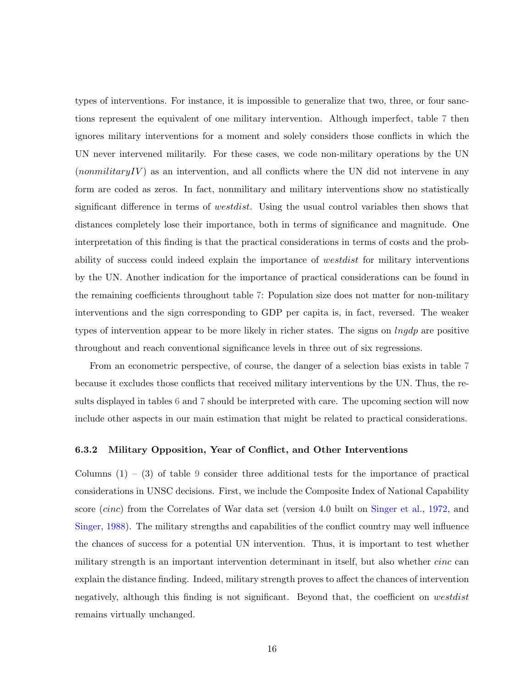types of interventions. For instance, it is impossible to generalize that two, three, or four sanctions represent the equivalent of one military intervention. Although imperfect, table [7](#page-36-0) then ignores military interventions for a moment and solely considers those conflicts in which the UN never intervened militarily. For these cases, we code non-military operations by the UN  $(nommiliary IV)$  as an intervention, and all conflicts where the UN did not intervene in any form are coded as zeros. In fact, nonmilitary and military interventions show no statistically significant difference in terms of westdist. Using the usual control variables then shows that distances completely lose their importance, both in terms of significance and magnitude. One interpretation of this finding is that the practical considerations in terms of costs and the probability of success could indeed explain the importance of westdist for military interventions by the UN. Another indication for the importance of practical considerations can be found in the remaining coefficients throughout table [7:](#page-36-0) Population size does not matter for non-military interventions and the sign corresponding to GDP per capita is, in fact, reversed. The weaker types of intervention appear to be more likely in richer states. The signs on  $\ln qdp$  are positive throughout and reach conventional significance levels in three out of six regressions.

From an econometric perspective, of course, the danger of a selection bias exists in table [7](#page-36-0) because it excludes those conflicts that received military interventions by the UN. Thus, the results displayed in tables [6](#page-35-0) and [7](#page-36-0) should be interpreted with care. The upcoming section will now include other aspects in our main estimation that might be related to practical considerations.

#### 6.3.2 Military Opposition, Year of Conflict, and Other Interventions

Columns  $(1) - (3)$  of table [9](#page-38-0) consider three additional tests for the importance of practical considerations in UNSC decisions. First, we include the Composite Index of National Capability score *(cinc)* from the Correlates of War data set (version 4.0 built on [Singer et al.,](#page-26-7) [1972,](#page-26-7) and [Singer,](#page-26-8) [1988\)](#page-26-8). The military strengths and capabilities of the conflict country may well influence the chances of success for a potential UN intervention. Thus, it is important to test whether military strength is an important intervention determinant in itself, but also whether *cinc* can explain the distance finding. Indeed, military strength proves to affect the chances of intervention negatively, although this finding is not significant. Beyond that, the coefficient on westdist remains virtually unchanged.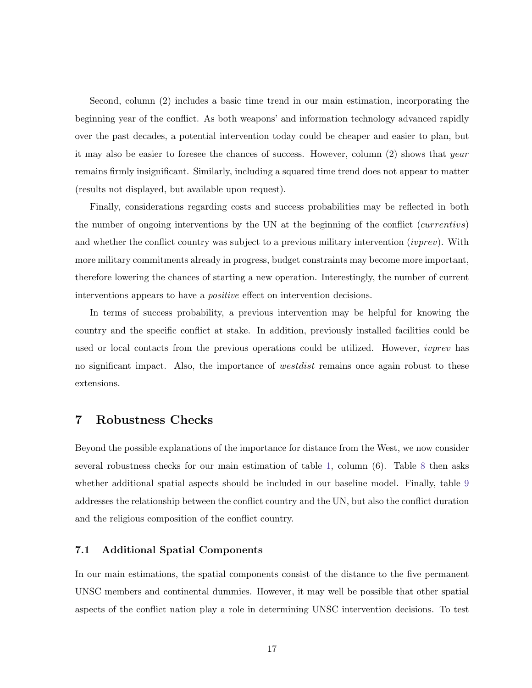Second, column (2) includes a basic time trend in our main estimation, incorporating the beginning year of the conflict. As both weapons' and information technology advanced rapidly over the past decades, a potential intervention today could be cheaper and easier to plan, but it may also be easier to foresee the chances of success. However, column (2) shows that year remains firmly insignificant. Similarly, including a squared time trend does not appear to matter (results not displayed, but available upon request).

Finally, considerations regarding costs and success probabilities may be reflected in both the number of ongoing interventions by the UN at the beginning of the conflict (currentivs) and whether the conflict country was subject to a previous military intervention *(ivprev)*. With more military commitments already in progress, budget constraints may become more important, therefore lowering the chances of starting a new operation. Interestingly, the number of current interventions appears to have a positive effect on intervention decisions.

In terms of success probability, a previous intervention may be helpful for knowing the country and the specific conflict at stake. In addition, previously installed facilities could be used or local contacts from the previous operations could be utilized. However, *ivprev* has no significant impact. Also, the importance of *westdist* remains once again robust to these extensions.

### 7 Robustness Checks

Beyond the possible explanations of the importance for distance from the West, we now consider several robustness checks for our main estimation of table [1,](#page-30-0) column (6). Table [8](#page-37-0) then asks whether additional spatial aspects should be included in our baseline model. Finally, table [9](#page-38-0) addresses the relationship between the conflict country and the UN, but also the conflict duration and the religious composition of the conflict country.

#### 7.1 Additional Spatial Components

In our main estimations, the spatial components consist of the distance to the five permanent UNSC members and continental dummies. However, it may well be possible that other spatial aspects of the conflict nation play a role in determining UNSC intervention decisions. To test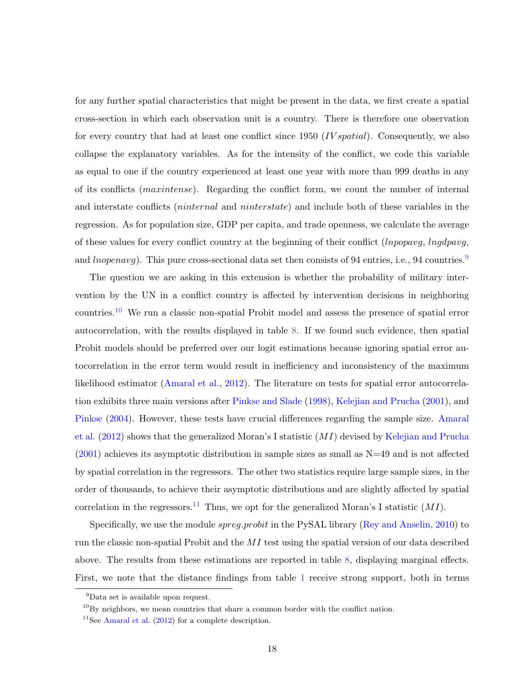for any further spatial characteristics that might be present in the data, we first create a spatial cross-section in which each observation unit is a country. There is therefore one observation for every country that had at least one conflict since 1950 (*IV spatial*). Consequently, we also collapse the explanatory variables. As for the intensity of the conflict, we code this variable as equal to one if the country experienced at least one year with more than 999 deaths in any of its conflicts (maxintense). Regarding the conflict form, we count the number of internal and interstate conflicts (ninternal and ninterstate) and include both of these variables in the regression. As for population size, GDP per capita, and trade openness, we calculate the average of these values for every conflict country at the beginning of their conflict (lnpopavg, lngdpavg, and *lnopenavg*). This pure cross-sectional data set then consists of [9](#page-20-0)4 entries, i.e., 94 countries.<sup>9</sup>

The question we are asking in this extension is whether the probability of military intervention by the UN in a conflict country is affected by intervention decisions in neighboring countries.[10](#page-20-1) We run a classic non-spatial Probit model and assess the presence of spatial error autocorrelation, with the results displayed in table [8.](#page-37-0) If we found such evidence, then spatial Probit models should be preferred over our logit estimations because ignoring spatial error autocorrelation in the error term would result in inefficiency and inconsistency of the maximum likelihood estimator [\(Amaral et al.,](#page-23-4) [2012\)](#page-23-4). The literature on tests for spatial error autocorrelation exhibits three main versions after [Pinkse and Slade](#page-26-9) [\(1998\)](#page-26-9), [Kelejian and Prucha](#page-25-10) [\(2001\)](#page-25-10), and [Pinkse](#page-25-11) [\(2004\)](#page-25-11). However, these tests have crucial differences regarding the sample size. [Amaral](#page-23-4) [et al.](#page-23-4) [\(2012\)](#page-23-4) shows that the generalized Moran's I statistic (MI) devised by [Kelejian and Prucha](#page-25-10) [\(2001\)](#page-25-10) achieves its asymptotic distribution in sample sizes as small as N=49 and is not affected by spatial correlation in the regressors. The other two statistics require large sample sizes, in the order of thousands, to achieve their asymptotic distributions and are slightly affected by spatial correlation in the regressors.<sup>[11](#page-20-2)</sup> Thus, we opt for the generalized Moran's I statistic  $(MI)$ .

Specifically, we use the module *spreg.probit* in the PySAL library [\(Rey and Anselin,](#page-26-10) [2010\)](#page-26-10) to run the classic non-spatial Probit and the MI test using the spatial version of our data described above. The results from these estimations are reported in table [8,](#page-37-0) displaying marginal effects. First, we note that the distance findings from table [1](#page-30-0) receive strong support, both in terms

<span id="page-20-0"></span><sup>9</sup>Data set is available upon request.

<span id="page-20-1"></span> $^{10}$ By neighbors, we mean countries that share a common border with the conflict nation.

<span id="page-20-2"></span><sup>&</sup>lt;sup>11</sup>See [Amaral et al.](#page-23-4)  $(2012)$  for a complete description.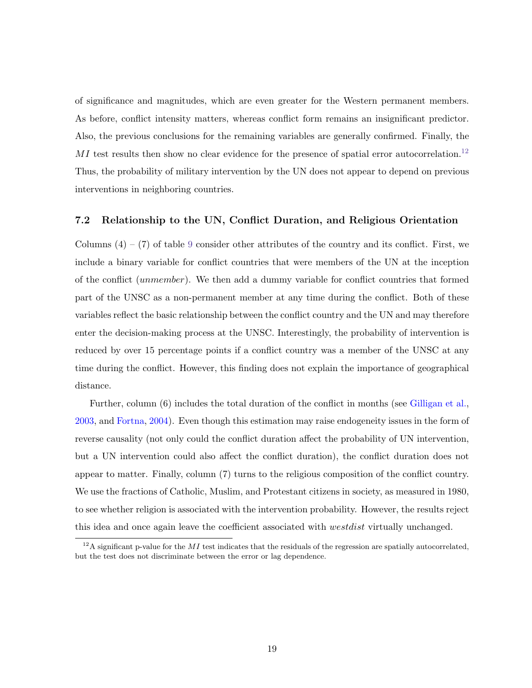of significance and magnitudes, which are even greater for the Western permanent members. As before, conflict intensity matters, whereas conflict form remains an insignificant predictor. Also, the previous conclusions for the remaining variables are generally confirmed. Finally, the  $MI$  test results then show no clear evidence for the presence of spatial error autocorrelation.<sup>[12](#page-21-0)</sup> Thus, the probability of military intervention by the UN does not appear to depend on previous interventions in neighboring countries.

#### 7.2 Relationship to the UN, Conflict Duration, and Religious Orientation

Columns  $(4) - (7)$  of table [9](#page-38-0) consider other attributes of the country and its conflict. First, we include a binary variable for conflict countries that were members of the UN at the inception of the conflict (unmember). We then add a dummy variable for conflict countries that formed part of the UNSC as a non-permanent member at any time during the conflict. Both of these variables reflect the basic relationship between the conflict country and the UN and may therefore enter the decision-making process at the UNSC. Interestingly, the probability of intervention is reduced by over 15 percentage points if a conflict country was a member of the UNSC at any time during the conflict. However, this finding does not explain the importance of geographical distance.

Further, column (6) includes the total duration of the conflict in months (see [Gilligan et al.,](#page-24-8) [2003,](#page-24-8) and [Fortna,](#page-24-12) [2004\)](#page-24-12). Even though this estimation may raise endogeneity issues in the form of reverse causality (not only could the conflict duration affect the probability of UN intervention, but a UN intervention could also affect the conflict duration), the conflict duration does not appear to matter. Finally, column (7) turns to the religious composition of the conflict country. We use the fractions of Catholic, Muslim, and Protestant citizens in society, as measured in 1980, to see whether religion is associated with the intervention probability. However, the results reject this idea and once again leave the coefficient associated with westdist virtually unchanged.

<span id="page-21-0"></span><sup>&</sup>lt;sup>12</sup>A significant p-value for the MI test indicates that the residuals of the regression are spatially autocorrelated, but the test does not discriminate between the error or lag dependence.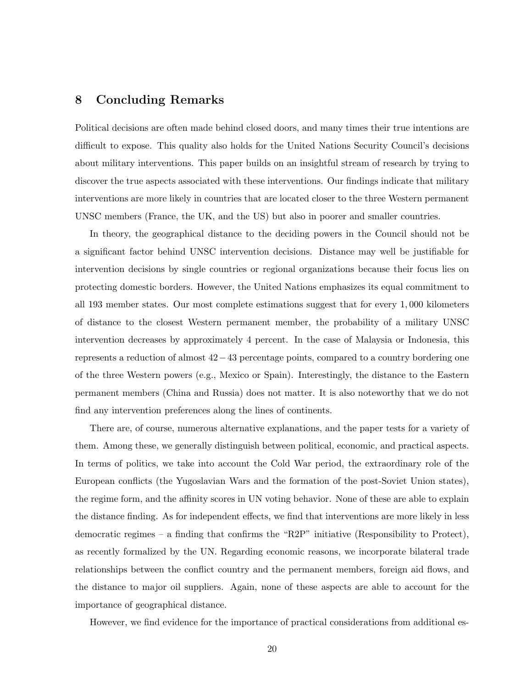## <span id="page-22-0"></span>8 Concluding Remarks

Political decisions are often made behind closed doors, and many times their true intentions are difficult to expose. This quality also holds for the United Nations Security Council's decisions about military interventions. This paper builds on an insightful stream of research by trying to discover the true aspects associated with these interventions. Our findings indicate that military interventions are more likely in countries that are located closer to the three Western permanent UNSC members (France, the UK, and the US) but also in poorer and smaller countries.

In theory, the geographical distance to the deciding powers in the Council should not be a significant factor behind UNSC intervention decisions. Distance may well be justifiable for intervention decisions by single countries or regional organizations because their focus lies on protecting domestic borders. However, the United Nations emphasizes its equal commitment to all 193 member states. Our most complete estimations suggest that for every 1, 000 kilometers of distance to the closest Western permanent member, the probability of a military UNSC intervention decreases by approximately 4 percent. In the case of Malaysia or Indonesia, this represents a reduction of almost 42−43 percentage points, compared to a country bordering one of the three Western powers (e.g., Mexico or Spain). Interestingly, the distance to the Eastern permanent members (China and Russia) does not matter. It is also noteworthy that we do not find any intervention preferences along the lines of continents.

There are, of course, numerous alternative explanations, and the paper tests for a variety of them. Among these, we generally distinguish between political, economic, and practical aspects. In terms of politics, we take into account the Cold War period, the extraordinary role of the European conflicts (the Yugoslavian Wars and the formation of the post-Soviet Union states), the regime form, and the affinity scores in UN voting behavior. None of these are able to explain the distance finding. As for independent effects, we find that interventions are more likely in less democratic regimes – a finding that confirms the "R2P" initiative (Responsibility to Protect), as recently formalized by the UN. Regarding economic reasons, we incorporate bilateral trade relationships between the conflict country and the permanent members, foreign aid flows, and the distance to major oil suppliers. Again, none of these aspects are able to account for the importance of geographical distance.

However, we find evidence for the importance of practical considerations from additional es-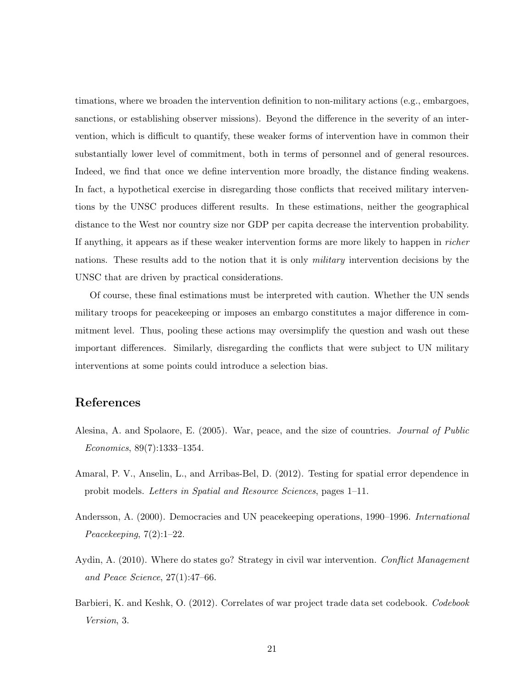timations, where we broaden the intervention definition to non-military actions (e.g., embargoes, sanctions, or establishing observer missions). Beyond the difference in the severity of an intervention, which is difficult to quantify, these weaker forms of intervention have in common their substantially lower level of commitment, both in terms of personnel and of general resources. Indeed, we find that once we define intervention more broadly, the distance finding weakens. In fact, a hypothetical exercise in disregarding those conflicts that received military interventions by the UNSC produces different results. In these estimations, neither the geographical distance to the West nor country size nor GDP per capita decrease the intervention probability. If anything, it appears as if these weaker intervention forms are more likely to happen in richer nations. These results add to the notion that it is only *military* intervention decisions by the UNSC that are driven by practical considerations.

Of course, these final estimations must be interpreted with caution. Whether the UN sends military troops for peacekeeping or imposes an embargo constitutes a major difference in commitment level. Thus, pooling these actions may oversimplify the question and wash out these important differences. Similarly, disregarding the conflicts that were subject to UN military interventions at some points could introduce a selection bias.

## References

- <span id="page-23-1"></span>Alesina, A. and Spolaore, E. (2005). War, peace, and the size of countries. Journal of Public Economics, 89(7):1333–1354.
- <span id="page-23-4"></span>Amaral, P. V., Anselin, L., and Arribas-Bel, D. (2012). Testing for spatial error dependence in probit models. Letters in Spatial and Resource Sciences, pages 1–11.
- <span id="page-23-2"></span>Andersson, A. (2000). Democracies and UN peacekeeping operations, 1990–1996. International Peacekeeping,  $7(2):1-22$ .
- <span id="page-23-0"></span>Aydin, A. (2010). Where do states go? Strategy in civil war intervention. Conflict Management and Peace Science, 27(1):47–66.
- <span id="page-23-3"></span>Barbieri, K. and Keshk, O. (2012). Correlates of war project trade data set codebook. Codebook Version, 3.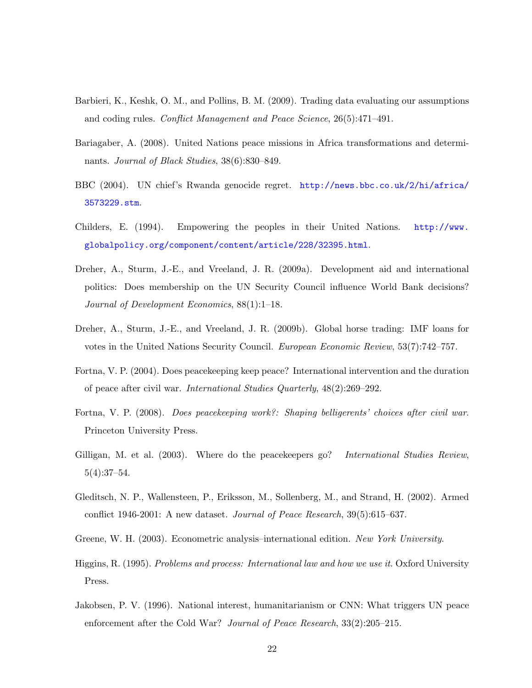- <span id="page-24-11"></span>Barbieri, K., Keshk, O. M., and Pollins, B. M. (2009). Trading data evaluating our assumptions and coding rules. Conflict Management and Peace Science, 26(5):471–491.
- <span id="page-24-6"></span>Bariagaber, A. (2008). United Nations peace missions in Africa transformations and determinants. Journal of Black Studies, 38(6):830–849.
- <span id="page-24-4"></span>BBC (2004). UN chief's Rwanda genocide regret. [http://news.bbc.co.uk/2/hi/africa/](http://news.bbc.co.uk/2/hi/africa/3573229.stm) [3573229.stm](http://news.bbc.co.uk/2/hi/africa/3573229.stm).
- <span id="page-24-0"></span>Childers, E. (1994). Empowering the peoples in their United Nations. [http://www.](http://www.globalpolicy.org/component/content/article/228/32395.html) [globalpolicy.org/component/content/article/228/32395.html](http://www.globalpolicy.org/component/content/article/228/32395.html).
- <span id="page-24-1"></span>Dreher, A., Sturm, J.-E., and Vreeland, J. R. (2009a). Development aid and international politics: Does membership on the UN Security Council influence World Bank decisions? Journal of Development Economics, 88(1):1–18.
- <span id="page-24-2"></span>Dreher, A., Sturm, J.-E., and Vreeland, J. R. (2009b). Global horse trading: IMF loans for votes in the United Nations Security Council. European Economic Review, 53(7):742–757.
- <span id="page-24-12"></span>Fortna, V. P. (2004). Does peacekeeping keep peace? International intervention and the duration of peace after civil war. International Studies Quarterly, 48(2):269–292.
- <span id="page-24-10"></span>Fortna, V. P. (2008). Does peacekeeping work?: Shaping belligerents' choices after civil war. Princeton University Press.
- <span id="page-24-8"></span>Gilligan, M. et al. (2003). Where do the peacekeepers go? International Studies Review, 5(4):37–54.
- <span id="page-24-5"></span>Gleditsch, N. P., Wallensteen, P., Eriksson, M., Sollenberg, M., and Strand, H. (2002). Armed conflict 1946-2001: A new dataset. Journal of Peace Research, 39(5):615–637.
- <span id="page-24-9"></span>Greene, W. H. (2003). Econometric analysis–international edition. New York University.
- <span id="page-24-7"></span>Higgins, R. (1995). Problems and process: International law and how we use it. Oxford University Press.
- <span id="page-24-3"></span>Jakobsen, P. V. (1996). National interest, humanitarianism or CNN: What triggers UN peace enforcement after the Cold War? Journal of Peace Research, 33(2):205–215.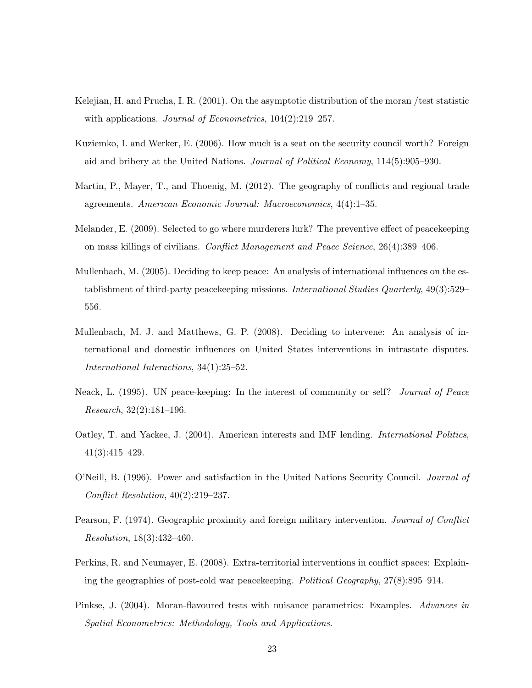- <span id="page-25-10"></span>Kelejian, H. and Prucha, I. R. (2001). On the asymptotic distribution of the moran /test statistic with applications. *Journal of Econometrics*,  $104(2):219-257$ .
- <span id="page-25-1"></span>Kuziemko, I. and Werker, E. (2006). How much is a seat on the security council worth? Foreign aid and bribery at the United Nations. Journal of Political Economy, 114(5):905–930.
- <span id="page-25-8"></span>Martin, P., Mayer, T., and Thoenig, M. (2012). The geography of conflicts and regional trade agreements. American Economic Journal: Macroeconomics, 4(4):1–35.
- <span id="page-25-7"></span>Melander, E. (2009). Selected to go where murderers lurk? The preventive effect of peacekeeping on mass killings of civilians. Conflict Management and Peace Science, 26(4):389–406.
- <span id="page-25-2"></span>Mullenbach, M. (2005). Deciding to keep peace: An analysis of international influences on the establishment of third-party peace keeping missions. *International Studies Quarterly*, 49(3):529– 556.
- <span id="page-25-5"></span>Mullenbach, M. J. and Matthews, G. P. (2008). Deciding to intervene: An analysis of international and domestic influences on United States interventions in intrastate disputes. International Interactions, 34(1):25–52.
- <span id="page-25-6"></span>Neack, L. (1995). UN peace-keeping: In the interest of community or self? Journal of Peace Research, 32(2):181–196.
- <span id="page-25-0"></span>Oatley, T. and Yackee, J. (2004). American interests and IMF lending. International Politics, 41(3):415–429.
- <span id="page-25-9"></span>O'Neill, B. (1996). Power and satisfaction in the United Nations Security Council. Journal of Conflict Resolution, 40(2):219–237.
- <span id="page-25-4"></span>Pearson, F. (1974). Geographic proximity and foreign military intervention. Journal of Conflict Resolution, 18(3):432–460.
- <span id="page-25-3"></span>Perkins, R. and Neumayer, E. (2008). Extra-territorial interventions in conflict spaces: Explaining the geographies of post-cold war peacekeeping. Political Geography, 27(8):895–914.
- <span id="page-25-11"></span>Pinkse, J. (2004). Moran-flavoured tests with nuisance parametrics: Examples. Advances in Spatial Econometrics: Methodology, Tools and Applications.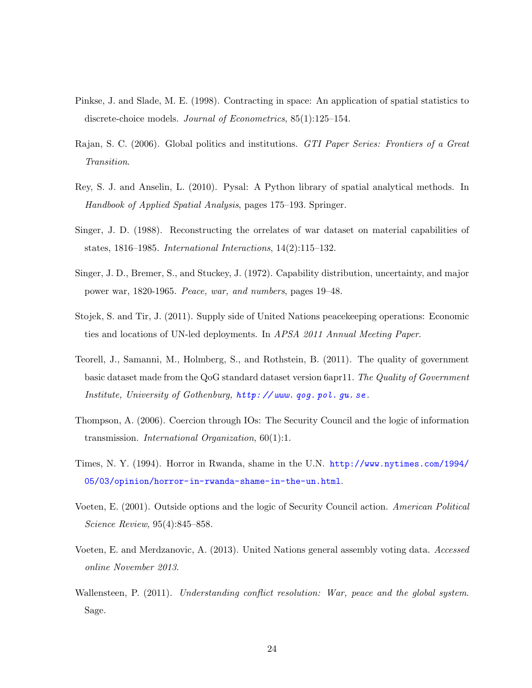- <span id="page-26-9"></span>Pinkse, J. and Slade, M. E. (1998). Contracting in space: An application of spatial statistics to discrete-choice models. Journal of Econometrics, 85(1):125–154.
- <span id="page-26-0"></span>Rajan, S. C. (2006). Global politics and institutions. GTI Paper Series: Frontiers of a Great Transition.
- <span id="page-26-10"></span>Rey, S. J. and Anselin, L. (2010). Pysal: A Python library of spatial analytical methods. In Handbook of Applied Spatial Analysis, pages 175–193. Springer.
- <span id="page-26-8"></span>Singer, J. D. (1988). Reconstructing the orrelates of war dataset on material capabilities of states, 1816–1985. International Interactions, 14(2):115–132.
- <span id="page-26-7"></span>Singer, J. D., Bremer, S., and Stuckey, J. (1972). Capability distribution, uncertainty, and major power war, 1820-1965. Peace, war, and numbers, pages 19–48.
- <span id="page-26-4"></span>Stojek, S. and Tir, J. (2011). Supply side of United Nations peacekeeping operations: Economic ties and locations of UN-led deployments. In APSA 2011 Annual Meeting Paper.
- <span id="page-26-11"></span>Teorell, J., Samanni, M., Holmberg, S., and Rothstein, B. (2011). The quality of government basic dataset made from the QoG standard dataset version 6apr11. The Quality of Government Institute, University of Gothenburg,  $http://www. qog.pol.gu.se.$
- <span id="page-26-1"></span>Thompson, A. (2006). Coercion through IOs: The Security Council and the logic of information transmission. *International Organization*,  $60(1)$ :1.
- <span id="page-26-2"></span>Times, N. Y. (1994). Horror in Rwanda, shame in the U.N. [http://www.nytimes.com/1994/](http://www.nytimes.com/1994/05/03/opinion/horror-in-rwanda-shame-in-the-un.html) [05/03/opinion/horror-in-rwanda-shame-in-the-un.html](http://www.nytimes.com/1994/05/03/opinion/horror-in-rwanda-shame-in-the-un.html).
- <span id="page-26-3"></span>Voeten, E. (2001). Outside options and the logic of Security Council action. American Political Science Review, 95(4):845–858.
- <span id="page-26-6"></span>Voeten, E. and Merdzanovic, A. (2013). United Nations general assembly voting data. Accessed online November 2013.
- <span id="page-26-5"></span>Wallensteen, P. (2011). Understanding conflict resolution: War, peace and the global system. Sage.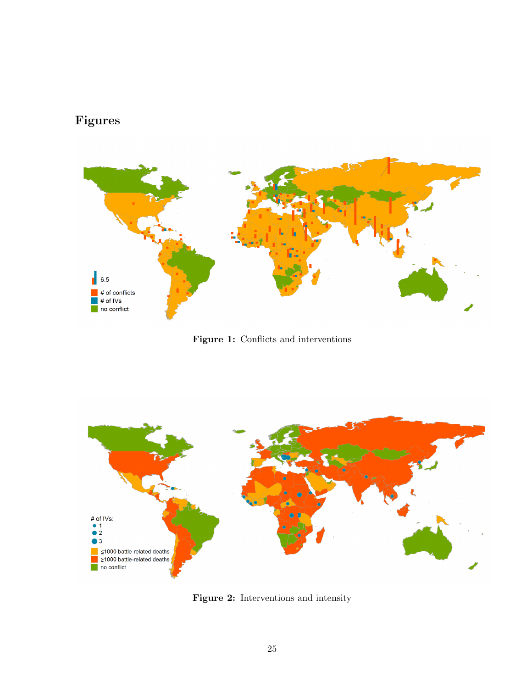## <span id="page-27-0"></span>Figures



Figure 1: Conflicts and interventions

<span id="page-27-1"></span>

Figure 2: Interventions and intensity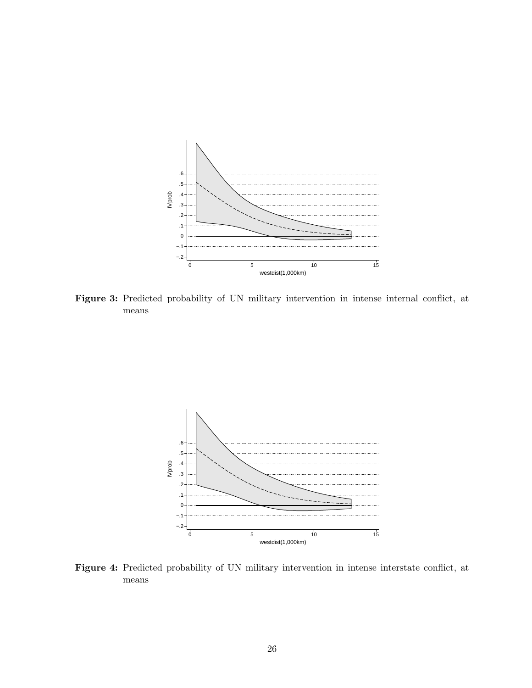<span id="page-28-0"></span>

Figure 3: Predicted probability of UN military intervention in intense internal conflict, at means



Figure 4: Predicted probability of UN military intervention in intense interstate conflict, at means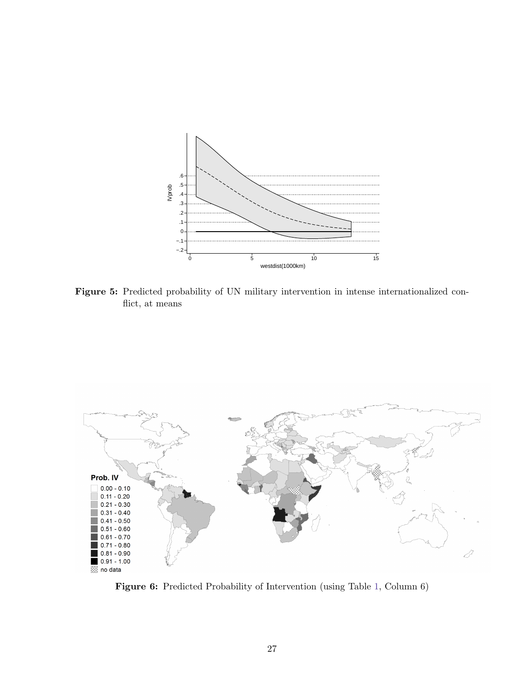<span id="page-29-1"></span>

Figure 5: Predicted probability of UN military intervention in intense internationalized conflict, at means

<span id="page-29-0"></span>

Figure 6: Predicted Probability of Intervention (using Table [1,](#page-30-0) Column 6)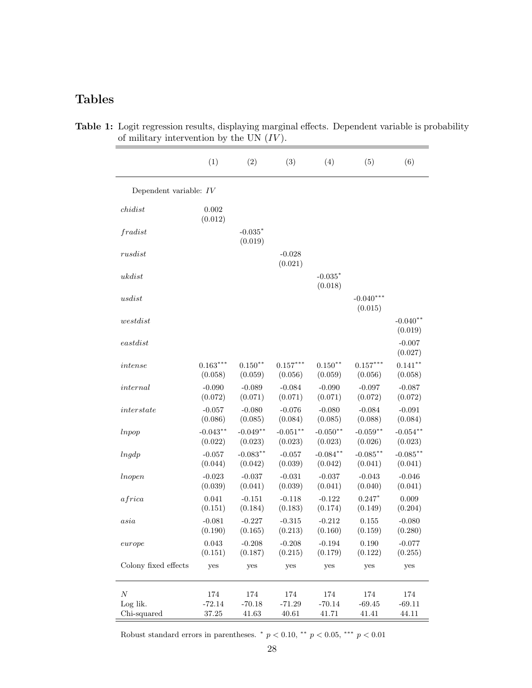## <span id="page-30-0"></span>Tables

|                          | (1)                    | (2)                   | (3)                   | (4)                    | (5)                    | (6)                    |
|--------------------------|------------------------|-----------------------|-----------------------|------------------------|------------------------|------------------------|
| Dependent variable: $IV$ |                        |                       |                       |                        |                        |                        |
| childist                 | 0.002<br>(0.012)       |                       |                       |                        |                        |                        |
| fradist                  |                        | $-0.035*$<br>(0.019)  |                       |                        |                        |                        |
| rusdist                  |                        |                       | $-0.028$<br>(0.021)   |                        |                        |                        |
| ukdist                   |                        |                       |                       | $-0.035*$<br>(0.018)   |                        |                        |
| usdist                   |                        |                       |                       |                        | $-0.040***$<br>(0.015) |                        |
| $we stdist$              |                        |                       |                       |                        |                        | $-0.040**$<br>(0.019)  |
| $\emph{eastdist}$        |                        |                       |                       |                        |                        | $-0.007$<br>(0.027)    |
| intense                  | $0.163***$<br>(0.058)  | $0.150**$<br>(0.059)  | $0.157***$<br>(0.056) | $0.150**$<br>(0.059)   | $0.157***$<br>(0.056)  | $0.141**$<br>(0.058)   |
| internal                 | $-0.090$<br>(0.072)    | $-0.089$<br>(0.071)   | $-0.084$<br>(0.071)   | $-0.090$<br>(0.071)    | $-0.097$<br>(0.072)    | $-0.087$<br>(0.072)    |
| interstate               | $-0.057$<br>(0.086)    | $-0.080$<br>(0.085)   | $-0.076$<br>(0.084)   | $-0.080$<br>(0.085)    | $-0.084$<br>(0.088)    | $-0.091$<br>(0.084)    |
| <i>lnpop</i>             | $-0.043**$<br>(0.022)  | $-0.049**$<br>(0.023) | $-0.051**$<br>(0.023) | $-0.050**$<br>(0.023)  | $-0.059**$<br>(0.026)  | $-0.054***$<br>(0.023) |
| lngdp                    | $-0.057$<br>(0.044)    | $-0.083**$<br>(0.042) | $-0.057$<br>(0.039)   | $-0.084***$<br>(0.042) | $-0.085***$<br>(0.041) | $-0.085***$<br>(0.041) |
| <i>Inopen</i>            | $-0.023$<br>(0.039)    | $-0.037$<br>(0.041)   | $-0.031$<br>(0.039)   | $-0.037$<br>(0.041)    | $-0.043$<br>(0.040)    | $-0.046$<br>(0.041)    |
| africa                   | 0.041<br>(0.151)       | $-0.151$<br>(0.184)   | $-0.118$<br>(0.183)   | $-0.122$<br>(0.174)    | $0.247*$<br>(0.149)    | 0.009<br>(0.204)       |
| asia                     | $-0.081$<br>(0.190)    | $-0.227$<br>(0.165)   | $-0.315$<br>(0.213)   | $-0.212$<br>(0.160)    | 0.155<br>(0.159)       | $-0.080$<br>(0.280)    |
| europe                   | $\,0.043\,$<br>(0.151) | $-0.208$<br>(0.187)   | $-0.208$<br>(0.215)   | $-0.194$<br>(0.179)    | 0.190<br>(0.122)       | $-0.077$<br>(0.255)    |
| Colony fixed effects     | yes                    | yes                   | yes                   | yes                    | yes                    | yes                    |
| N<br>Log lik.            | $174\,$<br>$-72.14$    | $174\,$<br>$-70.18$   | 174<br>$-71.29$       | $174\,$<br>$-70.14$    | 174<br>$-69.45$        | 174<br>$-69.11$        |
| Chi-squared              | 37.25                  | 41.63                 | 40.61                 | 41.71                  | 41.41                  | 44.11                  |

Table 1: Logit regression results, displaying marginal effects. Dependent variable is probability of military intervention by the UN  $(IV)$ .

Robust standard errors in parentheses.  $p < 0.10$ ,  $\alpha p$ ,  $p < 0.05$ ,  $\alpha p$ ,  $p < 0.01$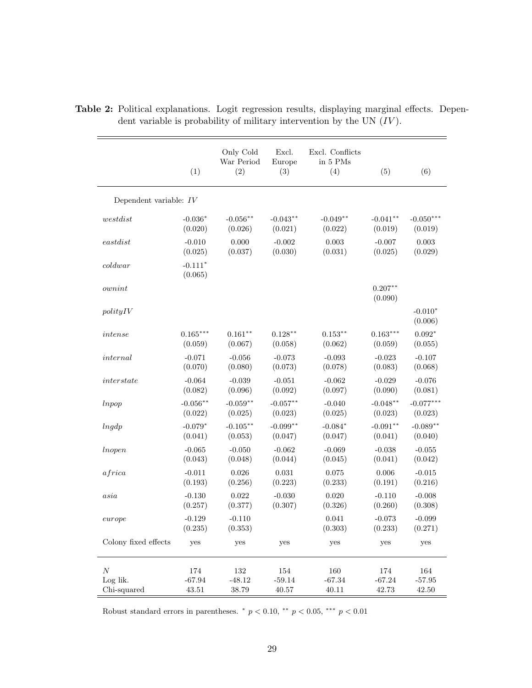|                          | (1)                  | Only Cold<br>War Period<br>(2) | Excl.<br>Europe<br>(3) | Excl. Conflicts<br>in $5$ PMs<br>(4) | (5)                  | (6)                  |
|--------------------------|----------------------|--------------------------------|------------------------|--------------------------------------|----------------------|----------------------|
| Dependent variable: $IV$ |                      |                                |                        |                                      |                      |                      |
| $we stdist$              | $-0.036*$            | $-0.056**$                     | $-0.043**$             | $-0.049**$                           | $-0.041**$           | $-0.050***$          |
|                          | (0.020)              | (0.026)                        | (0.021)                | (0.022)                              | (0.019)              | (0.019)              |
| $\emph{eastdist}$        | $-0.010$             | 0.000                          | $-0.002$               | 0.003                                | $-0.007$             | 0.003                |
|                          | (0.025)              | (0.037)                        | (0.030)                | (0.031)                              | (0.025)              | (0.029)              |
| $\left<$ coldwar         | $-0.111*$<br>(0.065) |                                |                        |                                      |                      |                      |
| $ovnint$                 |                      |                                |                        |                                      | $0.207**$<br>(0.090) |                      |
| $\text{polyIV}$          |                      |                                |                        |                                      |                      | $-0.010*$<br>(0.006) |
| intense                  | $0.165***$           | $0.161**$                      | $0.128**$              | $0.153***$                           | $0.163***$           | $0.092*$             |
|                          | (0.059)              | (0.067)                        | (0.058)                | (0.062)                              | (0.059)              | (0.055)              |
| internal                 | $-0.071$             | $-0.056$                       | $-0.073$               | $-0.093$                             | $-0.023$             | $-0.107$             |
|                          | (0.070)              | (0.080)                        | (0.073)                | (0.078)                              | (0.083)              | (0.068)              |
| interstate               | $-0.064$             | $-0.039$                       | $-0.051$               | $-0.062$                             | $-0.029$             | $-0.076$             |
|                          | (0.082)              | (0.096)                        | (0.092)                | (0.097)                              | (0.090)              | (0.081)              |
| lnpop                    | $-0.056***$          | $-0.059**$                     | $-0.057**$             | $-0.040$                             | $-0.048**$           | $-0.077***$          |
|                          | (0.022)              | (0.025)                        | (0.023)                | (0.025)                              | (0.023)              | (0.023)              |
| lngdp                    | $-0.079*$            | $-0.105***$                    | $-0.099**$             | $-0.084*$                            | $-0.091**$           | $-0.089**$           |
|                          | (0.041)              | (0.053)                        | (0.047)                | (0.047)                              | (0.041)              | (0.040)              |
| <i>lnopen</i>            | $-0.065$             | $-0.050$                       | $-0.062$               | $-0.069$                             | $-0.038$             | $-0.055$             |
|                          | (0.043)              | (0.048)                        | (0.044)                | (0.045)                              | (0.041)              | (0.042)              |
| a frica                  | $-0.011$             | 0.026                          | 0.031                  | 0.075                                | 0.006                | $-0.015$             |
|                          | (0.193)              | (0.256)                        | (0.223)                | (0.233)                              | (0.191)              | (0.216)              |
| asia                     | $-0.130$             | 0.022                          | $-0.030$               | 0.020                                | $-0.110$             | $-0.008$             |
|                          | (0.257)              | (0.377)                        | (0.307)                | (0.326)                              | (0.260)              | (0.308)              |
| europe                   | $-0.129$<br>(0.235)  | $-0.110$<br>(0.353)            |                        | 0.041<br>(0.303)                     | $-0.073$<br>(0.233)  | $-0.099$<br>(0.271)  |
| Colony fixed effects     | yes                  | yes                            | yes                    | yes                                  | yes                  | yes                  |
| $\boldsymbol{N}$         | 174                  | 132                            | 154                    | 160                                  | 174                  | 164                  |
| Log lik.                 | $-67.94$             | $-48.12$                       | $-59.14$               | $-67.34$                             | $-67.24$             | $-57.95$             |
| Chi-squared              | 43.51                | 38.79                          | 40.57                  | 40.11                                | 42.73                | 42.50                |

<span id="page-31-0"></span>Table 2: Political explanations. Logit regression results, displaying marginal effects. Dependent variable is probability of military intervention by the UN  $(IV)$ .

Robust standard errors in parentheses.  $p < 0.10$ ,  $\alpha p$ ,  $p < 0.05$ ,  $\alpha p$ ,  $p < 0.01$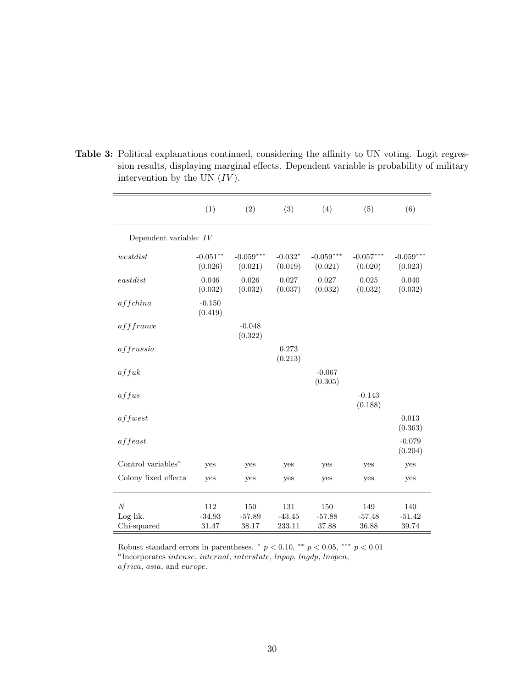|                                             | (1)                      | (2)                      | (3)                       | (4)                      | (5)                      | (6)                      |
|---------------------------------------------|--------------------------|--------------------------|---------------------------|--------------------------|--------------------------|--------------------------|
| Dependent variable: $IV$                    |                          |                          |                           |                          |                          |                          |
| westdist                                    | $-0.051**$<br>(0.026)    | $-0.059***$<br>(0.021)   | $-0.032*$<br>(0.019)      | $-0.059***$<br>(0.021)   | $-0.057***$<br>(0.020)   | $-0.059***$<br>(0.023)   |
| $\emph{eastdist}$                           | 0.046<br>(0.032)         | 0.026<br>(0.032)         | 0.027<br>(0.037)          | 0.027<br>(0.032)         | 0.025<br>(0.032)         | 0.040<br>(0.032)         |
| affchina                                    | $-0.150$<br>(0.419)      |                          |                           |                          |                          |                          |
| afffrance                                   |                          | $-0.048$<br>(0.322)      |                           |                          |                          |                          |
| affrussia                                   |                          |                          | 0.273<br>(0.213)          |                          |                          |                          |
| affuk                                       |                          |                          |                           | $-0.067$<br>(0.305)      |                          |                          |
| affus                                       |                          |                          |                           |                          | $-0.143$<br>(0.188)      |                          |
| $a$ f fwest                                 |                          |                          |                           |                          |                          | 0.013<br>(0.363)         |
| a f feast                                   |                          |                          |                           |                          |                          | $-0.079$<br>(0.204)      |
| Control variables <sup><math>a</math></sup> | yes                      | yes                      | yes                       | yes                      | yes                      | yes                      |
| Colony fixed effects                        | yes                      | yes                      | yes                       | yes                      | yes                      | yes                      |
| $\boldsymbol{N}$<br>Log lik.<br>Chi-squared | 112<br>$-34.93$<br>31.47 | 150<br>$-57.89$<br>38.17 | 131<br>$-43.45$<br>233.11 | 150<br>$-57.88$<br>37.88 | 149<br>$-57.48$<br>36.88 | 140<br>$-51.42$<br>39.74 |

<span id="page-32-0"></span>Table 3: Political explanations continued, considering the affinity to UN voting. Logit regression results, displaying marginal effects. Dependent variable is probability of military intervention by the UN  $(IV)$ .

Robust standard errors in parentheses.  $\binom{*}{p}$   $<$  0.10,  $\binom{**}{p}$   $<$  0.05,  $\binom{***}{p}$   $<$  0.01 <sup>a</sup>Incorporates intense, internal, interstate, lnpop, lngdp, lnopen, africa, asia, and europe.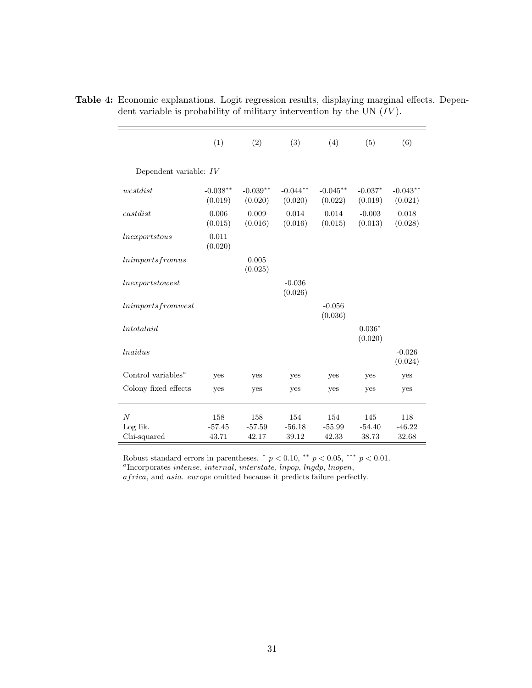|                                             | (1)                   | (2)                   | (3)                   | (4)                   | (5)                  | (6)                   |  |  |  |
|---------------------------------------------|-----------------------|-----------------------|-----------------------|-----------------------|----------------------|-----------------------|--|--|--|
| Dependent variable: $IV$                    |                       |                       |                       |                       |                      |                       |  |  |  |
| westdist                                    | $-0.038**$<br>(0.019) | $-0.039**$<br>(0.020) | $-0.044**$<br>(0.020) | $-0.045**$<br>(0.022) | $-0.037*$<br>(0.019) | $-0.043**$<br>(0.021) |  |  |  |
| $\emph{eastdist}$                           | 0.006<br>(0.015)      | 0.009<br>(0.016)      | 0.014<br>(0.016)      | 0.014<br>(0.015)      | $-0.003$<br>(0.013)  | 0.018<br>(0.028)      |  |  |  |
| $\ln\!approx\!$                             | 0.011<br>(0.020)      |                       |                       |                       |                      |                       |  |  |  |
| lnimports fromus                            |                       | 0.005<br>(0.025)      |                       |                       |                      |                       |  |  |  |
| $\boldsymbol{l}$ nexportstowest             |                       |                       | $-0.036$<br>(0.026)   |                       |                      |                       |  |  |  |
| lnimports from west                         |                       |                       |                       | $-0.056$<br>(0.036)   |                      |                       |  |  |  |
| $\mu_{totalaid}$                            |                       |                       |                       |                       | $0.036*$<br>(0.020)  |                       |  |  |  |
| <i>lnaidus</i>                              |                       |                       |                       |                       |                      | $-0.026$<br>(0.024)   |  |  |  |
| Control variables <sup><math>a</math></sup> | yes                   | yes                   | yes                   | yes                   | yes                  | yes                   |  |  |  |
| Colony fixed effects                        | yes                   | yes                   | yes                   | yes                   | yes                  | yes                   |  |  |  |
| $\overline{N}$                              | 158                   | 158                   | 154                   | 154                   | 145                  | 118                   |  |  |  |
| Log lik.<br>Chi-squared                     | $-57.45$<br>43.71     | $-57.59$<br>42.17     | $-56.18$<br>39.12     | $-55.99$<br>42.33     | $-54.40$<br>38.73    | $-46.22$<br>32.68     |  |  |  |

<span id="page-33-0"></span>Table 4: Economic explanations. Logit regression results, displaying marginal effects. Dependent variable is probability of military intervention by the UN  $(IV)$ .

Robust standard errors in parentheses.  $p < 0.10$ ,  $\alpha^{*} p < 0.05$ ,  $\alpha^{**} p < 0.01$ .

<sup>a</sup>Incorporates intense, internal, interstate, lnpop, lngdp, lnopen,

africa, and asia. europe omitted because it predicts failure perfectly.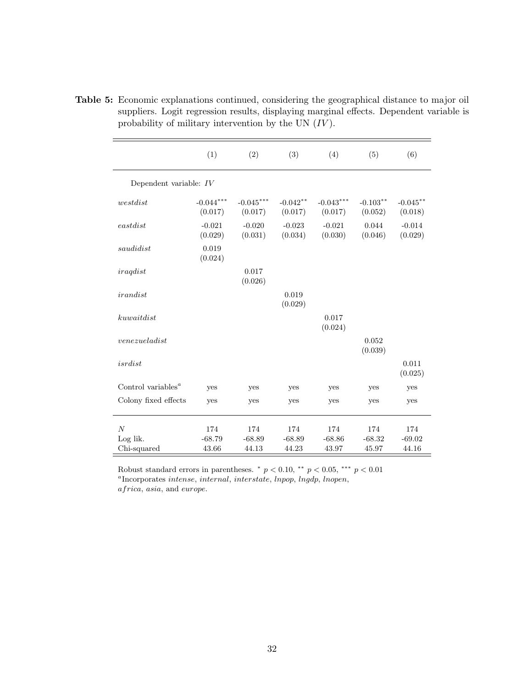|                                             | (1)                    | (2)                    | (3)                   | (4)                    | (5)                    | (6)                    |
|---------------------------------------------|------------------------|------------------------|-----------------------|------------------------|------------------------|------------------------|
| Dependent variable: $IV$                    |                        |                        |                       |                        |                        |                        |
| westdist                                    | $-0.044***$<br>(0.017) | $-0.045***$<br>(0.017) | $-0.042**$<br>(0.017) | $-0.043***$<br>(0.017) | $-0.103***$<br>(0.052) | $-0.045***$<br>(0.018) |
| eastdist                                    | $-0.021$<br>(0.029)    | $-0.020$<br>(0.031)    | $-0.023$<br>(0.034)   | $-0.021$<br>(0.030)    | 0.044<br>(0.046)       | $-0.014$<br>(0.029)    |
| saudidist                                   | 0.019<br>(0.024)       |                        |                       |                        |                        |                        |
| iraqdist                                    |                        | 0.017<br>(0.026)       |                       |                        |                        |                        |
| irandist                                    |                        |                        | 0.019<br>(0.029)      |                        |                        |                        |
| kuwaitdist                                  |                        |                        |                       | 0.017<br>(0.024)       |                        |                        |
| venezueladist                               |                        |                        |                       |                        | 0.052<br>(0.039)       |                        |
| $is \, r \, dist$                           |                        |                        |                       |                        |                        | 0.011<br>(0.025)       |
| Control variables <sup><math>a</math></sup> | yes                    | yes                    | yes                   | yes                    | yes                    | yes                    |
| Colony fixed effects                        | yes                    | yes                    | yes                   | yes                    | yes                    | yes                    |
| $\overline{N}$                              | 174                    | 174                    | 174                   | 174                    | 174                    | 174                    |
| Log lik.                                    | $-68.79$               | $-68.89$               | $-68.89$              | $-68.86$               | $-68.32$               | $-69.02$               |
| Chi-squared                                 | 43.66                  | 44.13                  | 44.23                 | 43.97                  | 45.97                  | 44.16                  |

<span id="page-34-0"></span>Table 5: Economic explanations continued, considering the geographical distance to major oil suppliers. Logit regression results, displaying marginal effects. Dependent variable is probability of military intervention by the UN  $(IV)$ .

Robust standard errors in parentheses.  $\binom{*}{p}$   $<$  0.10,  $\binom{**}{p}$   $<$  0.05,  $\binom{***}{p}$   $<$  0.01 <sup>a</sup>Incorporates intense, internal, interstate, lnpop, lngdp, lnopen,

africa, asia, and europe.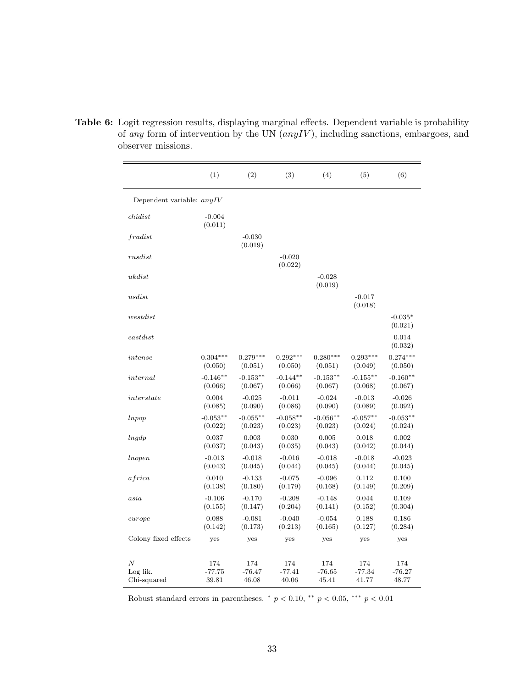|                             | (1)                 | (2)                 | (3)                 | (4)                 | (5)                 | (6)                  |
|-----------------------------|---------------------|---------------------|---------------------|---------------------|---------------------|----------------------|
| Dependent variable: $anyIV$ |                     |                     |                     |                     |                     |                      |
| childist                    | $-0.004$<br>(0.011) |                     |                     |                     |                     |                      |
| fradist                     |                     | $-0.030$<br>(0.019) |                     |                     |                     |                      |
| rusdist                     |                     |                     | $-0.020$<br>(0.022) |                     |                     |                      |
| ukdist                      |                     |                     |                     | $-0.028$<br>(0.019) |                     |                      |
| usdist                      |                     |                     |                     |                     | $-0.017$<br>(0.018) |                      |
| we st dist                  |                     |                     |                     |                     |                     | $-0.035*$<br>(0.021) |
| $\emph{eastdist}$           |                     |                     |                     |                     |                     | 0.014<br>(0.032)     |
| intense                     | $0.304***$          | $0.279***$          | $0.292***$          | $0.280***$          | $0.293***$          | $0.274***$           |
|                             | (0.050)             | (0.051)             | (0.050)             | (0.051)             | (0.049)             | (0.050)              |
| internal                    | $-0.146**$          | $-0.153**$          | $-0.144**$          | $-0.153**$          | $-0.155**$          | $-0.160**$           |
|                             | (0.066)             | (0.067)             | (0.066)             | (0.067)             | (0.068)             | (0.067)              |
| interstate                  | 0.004               | $-0.025$            | $-0.011$            | $-0.024$            | $-0.013$            | $-0.026$             |
|                             | (0.085)             | (0.090)             | (0.086)             | (0.090)             | (0.089)             | (0.092)              |
| lnpop                       | $-0.053**$          | $-0.055**$          | $-0.058**$          | $-0.056**$          | $-0.057**$          | $-0.053**$           |
|                             | (0.022)             | (0.023)             | (0.023)             | (0.023)             | (0.024)             | (0.024)              |
| lnqdp                       | 0.037               | 0.003               | 0.030               | 0.005               | 0.018               | 0.002                |
|                             | (0.037)             | (0.043)             | (0.035)             | (0.043)             | (0.042)             | (0.044)              |
| lnopen                      | $-0.013$            | $-0.018$            | $-0.016$            | $-0.018$            | $-0.018$            | $-0.023$             |
|                             | (0.043)             | (0.045)             | (0.044)             | (0.045)             | (0.044)             | (0.045)              |
| <i>africa</i>               | 0.010               | $-0.133$            | $-0.075$            | $-0.096$            | 0.112               | 0.100                |
|                             | (0.138)             | (0.180)             | (0.179)             | (0.168)             | (0.149)             | (0.209)              |
| asi a                       | $-0.106$            | $-0.170$            | $-0.208$            | $-0.148$            | 0.044               | 0.109                |
|                             | (0.155)             | (0.147)             | (0.204)             | (0.141)             | (0.152)             | (0.304)              |
| curve                       | 0.088               | $-0.081$            | $-0.040$            | $-0.054$            | 0.188               | 0.186                |
|                             | (0.142)             | (0.173)             | (0.213)             | (0.165)             | (0.127)             | (0.284)              |
| Colony fixed effects        | yes                 | yes                 | yes                 | yes                 | yes                 | yes                  |
| $\boldsymbol{N}$            | 174                 | 174                 | 174                 | 174                 | 174                 | 174                  |
| Log lik.                    | -77.75              | $-76.47$            | $-77.41$            | $-76.65$            | $-77.34$            | -76.27               |
| Chi-squared                 | 39.81               | 46.08               | 40.06               | 45.41               | 41.77               | 48.77                |

<span id="page-35-0"></span>Table 6: Logit regression results, displaying marginal effects. Dependent variable is probability of any form of intervention by the UN  $(any IV)$ , including sanctions, embargoes, and observer missions.

Robust standard errors in parentheses.  $p < 0.10$ ,  $\alpha^{**}$   $p < 0.05$ ,  $\alpha^{***}$   $p < 0.01$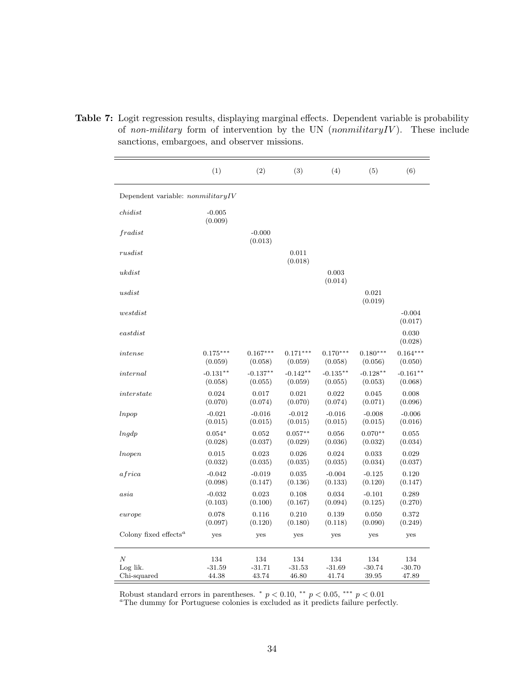|                                                | (1)                 | (2)                 | (3)              | (4)              | (5)              | (6)                 |
|------------------------------------------------|---------------------|---------------------|------------------|------------------|------------------|---------------------|
| Dependent variable: $nommiliary IV$            |                     |                     |                  |                  |                  |                     |
| childist                                       | $-0.005$<br>(0.009) |                     |                  |                  |                  |                     |
| fradist                                        |                     | $-0.000$<br>(0.013) |                  |                  |                  |                     |
| rusdist                                        |                     |                     | 0.011<br>(0.018) |                  |                  |                     |
| ukdist                                         |                     |                     |                  | 0.003<br>(0.014) |                  |                     |
| usdist                                         |                     |                     |                  |                  | 0.021<br>(0.019) |                     |
| we stdist                                      |                     |                     |                  |                  |                  | $-0.004$<br>(0.017) |
| $\emph{eastdist}$                              |                     |                     |                  |                  |                  | 0.030<br>(0.028)    |
| intense                                        | $0.175***$          | $0.167***$          | $0.171***$       | $0.170***$       | $0.180***$       | $0.164***$          |
|                                                | (0.059)             | (0.058)             | (0.059)          | (0.058)          | (0.056)          | (0.050)             |
| internal                                       | $-0.131**$          | $-0.137**$          | $-0.142**$       | $-0.135**$       | $-0.128**$       | $-0.161**$          |
|                                                | (0.058)             | (0.055)             | (0.059)          | (0.055)          | (0.053)          | (0.068)             |
| interstate                                     | 0.024               | 0.017               | 0.021            | 0.022            | 0.045            | 0.008               |
|                                                | (0.070)             | (0.074)             | (0.070)          | (0.074)          | (0.071)          | (0.096)             |
| lnpop                                          | $-0.021$            | $-0.016$            | $-0.012$         | $-0.016$         | $-0.008$         | $-0.006$            |
|                                                | (0.015)             | (0.015)             | (0.015)          | (0.015)          | (0.015)          | (0.016)             |
| lngdp                                          | $0.054*$            | 0.052               | $0.057**$        | 0.056            | $0.070**$        | 0.055               |
|                                                | (0.028)             | (0.037)             | (0.029)          | (0.036)          | (0.032)          | (0.034)             |
| <i>Inopen</i>                                  | 0.015               | 0.023               | 0.026            | 0.024            | 0.033            | 0.029               |
|                                                | (0.032)             | (0.035)             | (0.035)          | (0.035)          | (0.034)          | (0.037)             |
| africa                                         | $-0.042$            | $-0.019$            | 0.035            | $-0.004$         | $-0.125$         | 0.120               |
|                                                | (0.098)             | (0.147)             | (0.136)          | (0.133)          | (0.120)          | (0.147)             |
| asia                                           | $-0.032$            | 0.023               | 0.108            | 0.034            | $-0.101$         | 0.289               |
|                                                | (0.103)             | (0.100)             | (0.167)          | (0.094)          | (0.125)          | (0.270)             |
| curvepe                                        | 0.078               | 0.116               | 0.210            | 0.139            | 0.050            | 0.372               |
|                                                | (0.097)             | (0.120)             | (0.180)          | (0.118)          | (0.090)          | (0.249)             |
| Colony fixed effects <sup><math>a</math></sup> | yes                 | yes                 | yes              | yes              | yes              | yes                 |
| $\boldsymbol{N}$                               | 134                 | 134                 | 134              | 134              | 134              | 134                 |
| Log lik.                                       | $-31.59$            | $-31.71$            | $-31.53$         | $-31.69$         | $-30.74$         | $-30.70$            |
| Chi-squared                                    | 44.38               | 43.74               | 46.80            | 41.74            | 39.95            | 47.89               |

<span id="page-36-0"></span>Table 7: Logit regression results, displaying marginal effects. Dependent variable is probability of non-military form of intervention by the UN  $(nommiliary IV)$ . These include sanctions, embargoes, and observer missions.

Robust standard errors in parentheses.  $p < 0.10$ ,  $\alpha p$ ,  $p < 0.05$ ,  $\alpha p$ ,  $p < 0.01$ 

<sup>a</sup>The dummy for Portuguese colonies is excluded as it predicts failure perfectly.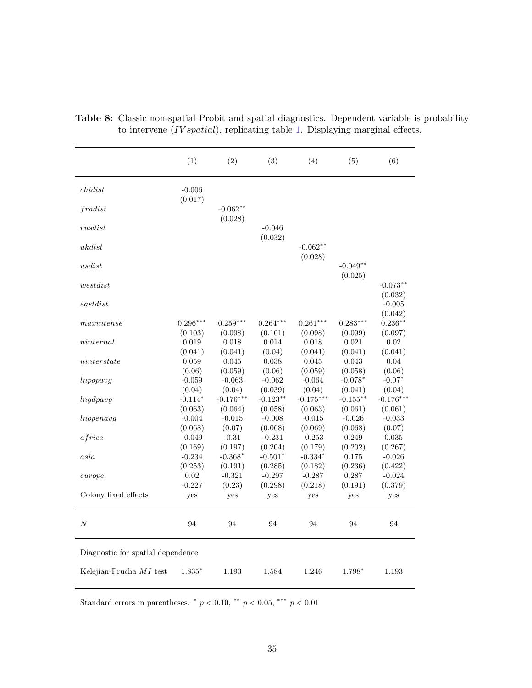|                                   | (1)                 | (2)                   | (3)                    | (4)                   | (5)                    | (6)                   |
|-----------------------------------|---------------------|-----------------------|------------------------|-----------------------|------------------------|-----------------------|
| childist                          | $-0.006$<br>(0.017) |                       |                        |                       |                        |                       |
| fradist                           |                     | $-0.062**$<br>(0.028) |                        |                       |                        |                       |
| rusdist                           |                     |                       | $-0.046$<br>(0.032)    |                       |                        |                       |
| ukdist                            |                     |                       |                        | $-0.062**$            |                        |                       |
| usdist                            |                     |                       |                        | (0.028)               | $-0.049**$             |                       |
| westdist                          |                     |                       |                        |                       | (0.025)                | $-0.073**$            |
| $\emph{eastdist}$                 |                     |                       |                        |                       |                        | (0.032)<br>$-0.005$   |
| maxintense                        | $0.296***$          | $0.259***$            | $0.264***$             | $0.261***$            | $0.283***$             | (0.042)<br>$0.236***$ |
| ninternal                         | (0.103)<br>0.019    | (0.098)<br>0.018      | (0.101)<br>0.014       | (0.098)<br>0.018      | (0.099)<br>0.021       | (0.097)<br>0.02       |
| ninterstate                       | (0.041)<br>0.059    | (0.041)<br>0.045      | (0.04)<br>0.038        | (0.041)<br>0.045      | (0.041)<br>0.043       | (0.041)<br>0.04       |
| lnpopus                           | (0.06)<br>$-0.059$  | (0.059)<br>$-0.063$   | (0.06)<br>$-0.062$     | (0.059)<br>$-0.064$   | (0.058)<br>$-0.078*$   | (0.06)<br>$-0.07*$    |
| lnqdpavq                          | (0.04)<br>$-0.114*$ | (0.04)<br>$-0.176***$ | (0.039)<br>$-0.123***$ | (0.04)<br>$-0.175***$ | (0.041)<br>$-0.155***$ | (0.04)<br>$-0.176***$ |
| In open avg                       | (0.063)<br>$-0.004$ | (0.064)<br>$-0.015$   | (0.058)<br>$-0.008$    | (0.063)<br>$-0.015$   | (0.061)<br>$-0.026$    | (0.061)<br>$-0.033$   |
| africa                            | (0.068)<br>$-0.049$ | (0.07)<br>$-0.31$     | (0.068)<br>$-0.231$    | (0.069)<br>$-0.253$   | (0.068)<br>0.249       | (0.07)<br>0.035       |
| asia                              | (0.169)<br>$-0.234$ | (0.197)<br>$-0.368*$  | (0.204)<br>$-0.501*$   | (0.179)<br>$-0.334*$  | (0.202)<br>0.175       | (0.267)<br>$-0.026$   |
| curvepe                           | (0.253)<br>0.02     | (0.191)<br>$-0.321$   | (0.285)<br>$-0.297$    | (0.182)<br>$-0.287$   | (0.236)<br>0.287       | (0.422)<br>$-0.024$   |
| Colony fixed effects              | $-0.227$<br>yes     | (0.23)<br>yes         | (0.298)<br>yes         | (0.218)<br>yes        | (0.191)<br>yes         | (0.379)<br>yes        |
|                                   |                     |                       |                        |                       |                        |                       |
| $\boldsymbol{N}$                  | 94                  | 94                    | 94                     | 94                    | 94                     | 94                    |
| Diagnostic for spatial dependence |                     |                       |                        |                       |                        |                       |
| Kelejian-Prucha $MI$ test         | 1.835*              | 1.193                 | 1.584                  | 1.246                 | 1.798*                 | 1.193                 |

<span id="page-37-0"></span>Table 8: Classic non-spatial Probit and spatial diagnostics. Dependent variable is probability to intervene  $(IV spatial)$ , replicating table [1.](#page-30-0) Displaying marginal effects.

Standard errors in parentheses.  $*$   $p < 0.10$ ,  $**$   $p < 0.05$ ,  $**$   $p < 0.01$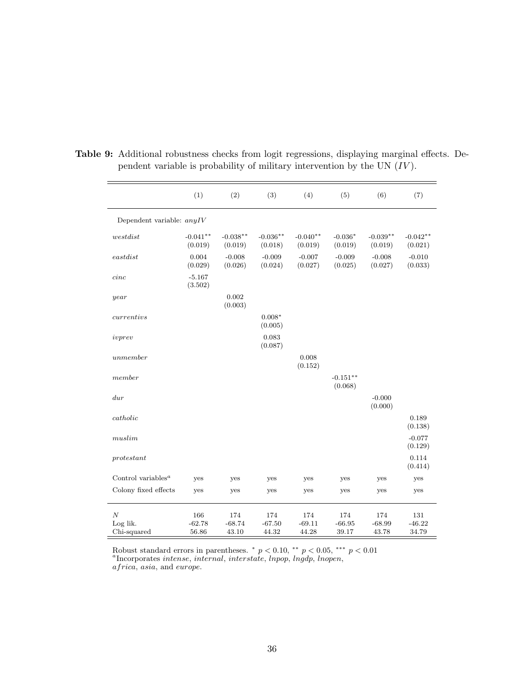|                                             | (1)                      | (2)                      | (3)                      | (4)                      | (5)                      | (6)                      | (7)                      |
|---------------------------------------------|--------------------------|--------------------------|--------------------------|--------------------------|--------------------------|--------------------------|--------------------------|
| Dependent variable: $anyIV$                 |                          |                          |                          |                          |                          |                          |                          |
| westdist                                    | $-0.041**$<br>(0.019)    | $-0.038**$<br>(0.019)    | $-0.036**$<br>(0.018)    | $-0.040**$<br>(0.019)    | $-0.036*$<br>(0.019)     | $-0.039**$<br>(0.019)    | $-0.042**$<br>(0.021)    |
| $\emph{eastdist}$                           | 0.004<br>(0.029)         | $-0.008$<br>(0.026)      | $-0.009$<br>(0.024)      | $-0.007$<br>(0.027)      | $-0.009$<br>(0.025)      | $-0.008$<br>(0.027)      | $-0.010$<br>(0.033)      |
| cinc                                        | $-5.167$<br>(3.502)      |                          |                          |                          |                          |                          |                          |
| year                                        |                          | 0.002<br>(0.003)         |                          |                          |                          |                          |                          |
| currentivs                                  |                          |                          | $0.008*$<br>(0.005)      |                          |                          |                          |                          |
| ivprev                                      |                          |                          | 0.083<br>(0.087)         |                          |                          |                          |                          |
| unmember                                    |                          |                          |                          | 0.008<br>(0.152)         |                          |                          |                          |
| member                                      |                          |                          |                          |                          | $-0.151**$<br>(0.068)    |                          |                          |
| dur                                         |                          |                          |                          |                          |                          | $-0.000$<br>(0.000)      |                          |
| catholic                                    |                          |                          |                          |                          |                          |                          | 0.189<br>(0.138)         |
| muslim                                      |                          |                          |                          |                          |                          |                          | $-0.077$<br>(0.129)      |
| protestant                                  |                          |                          |                          |                          |                          |                          | 0.114<br>(0.414)         |
| Control variables <sup><math>a</math></sup> | yes                      | yes                      | yes                      | yes                      | yes                      | yes                      | yes                      |
| Colony fixed effects                        | yes                      | yes                      | yes                      | yes                      | yes                      | yes                      | yes                      |
| $\boldsymbol{N}$<br>Log lik.<br>Chi-squared | 166<br>$-62.78$<br>56.86 | 174<br>$-68.74$<br>43.10 | 174<br>$-67.50$<br>44.32 | 174<br>$-69.11$<br>44.28 | 174<br>$-66.95$<br>39.17 | 174<br>$-68.99$<br>43.78 | 131<br>$-46.22$<br>34.79 |

<span id="page-38-0"></span>Table 9: Additional robustness checks from logit regressions, displaying marginal effects. Dependent variable is probability of military intervention by the UN  $(IV)$ .

Robust standard errors in parentheses.  $* p < 0.10$ ,  $* p < 0.05$ ,  $*** p < 0.01$ <br><sup>a</sup>Incorporates *intense*, *internal*, *interstate*, *lnpop*, *lngdp*, *lnopen*, africa, asia, and europe.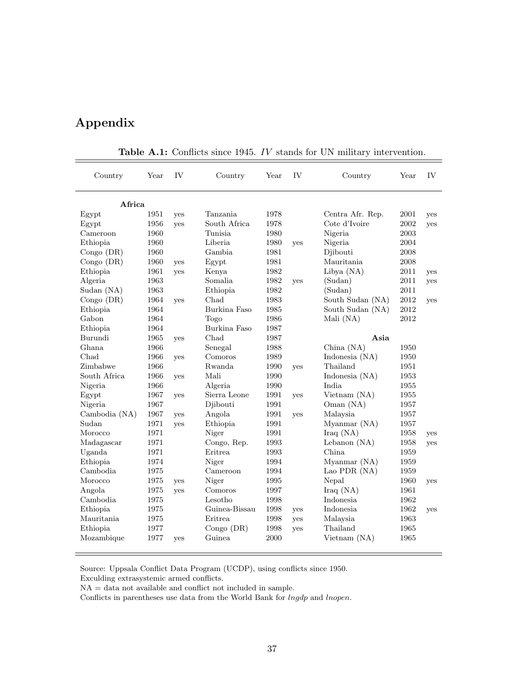## Appendix

| Country       | Year | IV         | Country        | Year | IV  | Country          | Year | <b>IV</b> |
|---------------|------|------------|----------------|------|-----|------------------|------|-----------|
| Africa        |      |            |                |      |     |                  |      |           |
| Egypt         | 1951 | yes        | Tanzania       | 1978 |     | Centra Afr. Rep. | 2001 | yes       |
| Egypt         | 1956 | yes        | South Africa   | 1978 |     | Cote d'Ivoire    | 2002 | yes       |
| Cameroon      | 1960 |            | <b>Tunisia</b> | 1980 |     | Nigeria          | 2003 |           |
| Ethiopia      | 1960 |            | Liberia        | 1980 | ves | Nigeria          | 2004 |           |
| $Congo$ (DR)  | 1960 |            | Gambia         | 1981 |     | Diibouti         | 2008 |           |
| Congo $(DR)$  | 1960 | yes        | Egypt          | 1981 |     | Mauritania       | 2008 |           |
| Ethiopia      | 1961 | yes        | Kenya          | 1982 |     | Libya (NA)       | 2011 | yes       |
| Algeria       | 1963 |            | Somalia        | 1982 | yes | (Sudan)          | 2011 | yes       |
| Sudan (NA)    | 1963 |            | Ethiopia       | 1982 |     | (Sudan)          | 2011 |           |
| $Congo$ (DR)  | 1964 | yes        | Chad           | 1983 |     | South Sudan (NA) | 2012 | yes       |
| Ethiopia      | 1964 |            | Burkina Faso   | 1985 |     | South Sudan (NA) | 2012 |           |
| Gabon         | 1964 |            | Togo           | 1986 |     | Mali (NA)        | 2012 |           |
| Ethiopia      | 1964 |            | Burkina Faso   | 1987 |     |                  |      |           |
| Burundi       | 1965 | yes        | Chad           | 1987 |     | Asia             |      |           |
| Ghana         | 1966 |            | Senegal        | 1988 |     | China $(NA)$     | 1950 |           |
| Chad          | 1966 | yes        | Comoros        | 1989 |     | Indonesia (NA)   | 1950 |           |
| Zimbabwe      | 1966 |            | Rwanda         | 1990 | yes | Thailand         | 1951 |           |
| South Africa  | 1966 | yes        | Mali           | 1990 |     | Indonesia $(NA)$ | 1953 |           |
| Nigeria       | 1966 |            | Algeria        | 1990 |     | India            | 1955 |           |
| Egypt         | 1967 | yes        | Sierra Leone   | 1991 | yes | Vietnam (NA)     | 1955 |           |
| Nigeria       | 1967 |            | Djibouti       | 1991 |     | Oman (NA)        | 1957 |           |
| Cambodia (NA) | 1967 | yes        | Angola         | 1991 | ves | Malaysia         | 1957 |           |
| Sudan         | 1971 | yes        | Ethiopia       | 1991 |     | Myanmar (NA)     | 1957 |           |
| Morocco       | 1971 |            | Niger          | 1991 |     | Iraq (NA)        | 1958 | yes       |
| Madagascar    | 1971 |            | Congo, Rep.    | 1993 |     | Lebanon $(NA)$   | 1958 | yes       |
| Uganda        | 1971 |            | Eritrea        | 1993 |     | China.           | 1959 |           |
| Ethiopia      | 1974 |            | Niger          | 1994 |     | Myanmar (NA)     | 1959 |           |
| Cambodia      | 1975 |            | Cameroon       | 1994 |     | Lao PDR (NA)     | 1959 |           |
| Morocco       | 1975 | <b>ves</b> | Niger          | 1995 |     | Nepal            | 1960 | yes       |
| Angola        | 1975 | yes        | Comoros        | 1997 |     | Iraq $(NA)$      | 1961 |           |
| Cambodia      | 1975 |            | Lesotho        | 1998 |     | Indonesia        | 1962 |           |
| Ethiopia      | 1975 |            | Guinea-Bissau  | 1998 | yes | Indonesia        | 1962 | yes       |
| Mauritania    | 1975 |            | <b>Eritrea</b> | 1998 | yes | Malaysia         | 1963 |           |
| Ethiopia      | 1977 |            | $Congo$ (DR)   | 1998 | yes | Thailand         | 1965 |           |
| Mozambique    | 1977 | yes        | Guinea         | 2000 |     | Vietnam (NA)     | 1965 |           |

Table A.1: Conflicts since 1945. IV stands for UN military intervention.

Source: Uppsala Conflict Data Program (UCDP), using conflicts since 1950.

Exculding extrasystemic armed conflicts.

Conflicts in parentheses use data from the World Bank for  $lngdp$  and  $lnopen$ .

NA = data not available and conflict not included in sample.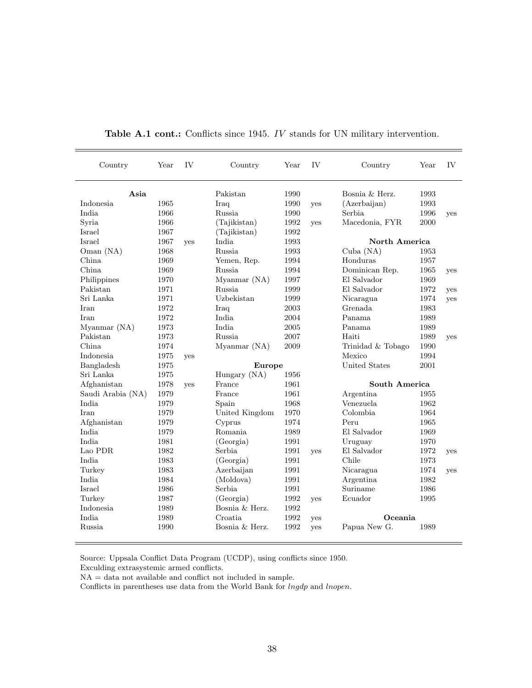| Country           | Year | IV         | Country        | Year | IV  | Country           | Year | IV         |
|-------------------|------|------------|----------------|------|-----|-------------------|------|------------|
| Asia              |      |            | Pakistan       | 1990 |     | Bosnia & Herz.    | 1993 |            |
| Indonesia         | 1965 |            | Iraq           | 1990 | yes | (Azerbaijan)      | 1993 |            |
| India             | 1966 |            | Russia         | 1990 |     | Serbia            | 1996 | yes        |
| Syria             | 1966 |            | (Tajikistan)   | 1992 | yes | Macedonia, FYR    | 2000 |            |
| Israel            | 1967 |            | (Tajikistan)   | 1992 |     |                   |      |            |
| Israel            | 1967 | yes        | India          | 1993 |     | North America     |      |            |
| Oman $(NA)$       | 1968 |            | Russia         | 1993 |     | Cuba $(NA)$       | 1953 |            |
| China             | 1969 |            | Yemen, Rep.    | 1994 |     | Honduras          | 1957 |            |
| China             | 1969 |            | Russia         | 1994 |     | Dominican Rep.    | 1965 | yes        |
| Philippines       | 1970 |            | Myanmar (NA)   | 1997 |     | El Salvador       | 1969 |            |
| Pakistan          | 1971 |            | <b>Russia</b>  | 1999 |     | El Salvador       | 1972 | <b>ves</b> |
| Sri Lanka         | 1971 |            | Uzbekistan     | 1999 |     | Nicaragua         | 1974 | yes        |
| Iran              | 1972 |            | Iraq           | 2003 |     | Grenada           | 1983 |            |
| Iran              | 1972 |            | India          | 2004 |     | Panama            | 1989 |            |
| Myanmar (NA)      | 1973 |            | <b>India</b>   | 2005 |     | Panama            | 1989 |            |
| Pakistan          | 1973 |            | <b>Russia</b>  | 2007 |     | Haiti             | 1989 | ves        |
| China             | 1974 |            | Myanmar (NA)   | 2009 |     | Trinidad & Tobago | 1990 |            |
| Indonesia         | 1975 | yes        |                |      |     | Mexico            | 1994 |            |
| Bangladesh        | 1975 |            | <b>Europe</b>  |      |     | United States     | 2001 |            |
| Sri Lanka         | 1975 |            | Hungary (NA)   | 1956 |     |                   |      |            |
| Afghanistan       | 1978 | <b>ves</b> | France         | 1961 |     | South America     |      |            |
| Saudi Arabia (NA) | 1979 |            | France         | 1961 |     | Argentina         | 1955 |            |
| India             | 1979 |            | Spain          | 1968 |     | Venezuela         | 1962 |            |
| Iran              | 1979 |            | United Kingdom | 1970 |     | Colombia          | 1964 |            |
| Afghanistan       | 1979 |            | Cyprus         | 1974 |     | Peru              | 1965 |            |
| <b>India</b>      | 1979 |            | Romania        | 1989 |     | El Salvador       | 1969 |            |
| India             | 1981 |            | (Georgia)      | 1991 |     | Uruguay           | 1970 |            |
| Lao PDR           | 1982 |            | Serbia         | 1991 | yes | El Salvador       | 1972 | yes        |
| India             | 1983 |            | (Georgia)      | 1991 |     | Chile             | 1973 |            |
| Turkey            | 1983 |            | Azerbaijan     | 1991 |     | Nicaragua         | 1974 | yes        |
| <b>India</b>      | 1984 |            | (Moldova)      | 1991 |     | Argentina         | 1982 |            |
| Israel            | 1986 |            | Serbia         | 1991 |     | Suriname          | 1986 |            |
| Turkey            | 1987 |            | (Georgia)      | 1992 | yes | Ecuador           | 1995 |            |
| Indonesia         | 1989 |            | Bosnia & Herz. | 1992 |     |                   |      |            |
| <b>India</b>      | 1989 |            | Croatia        | 1992 | yes | Oceania           |      |            |
| Russia            | 1990 |            | Bosnia & Herz. | 1992 | ves | Papua New G.      | 1989 |            |

Table A.1 cont.: Conflicts since 1945. IV stands for UN military intervention.

Source: Uppsala Conflict Data Program (UCDP), using conflicts since 1950.

Exculding extrasystemic armed conflicts.

 ${\rm NA}$  = data not available and conflict not included in sample.

Conflicts in parentheses use data from the World Bank for *lngdp* and *lnopen*.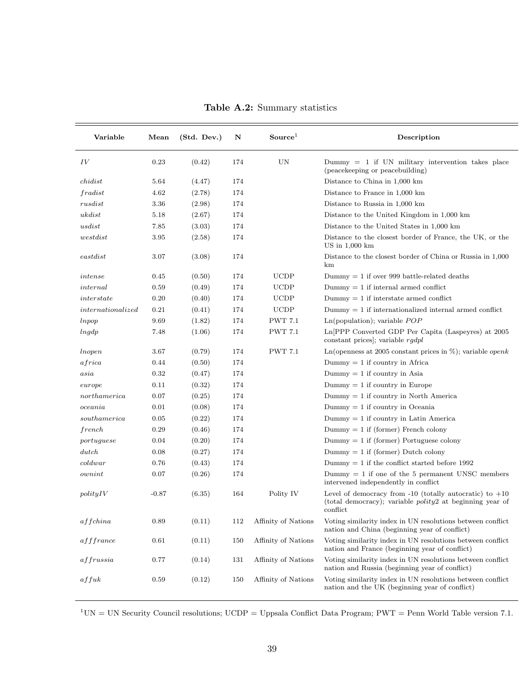| Variable                     | Mean    | (Std. Dev.) | N   | Source <sup>1</sup> | Description                                                                                                                                |
|------------------------------|---------|-------------|-----|---------------------|--------------------------------------------------------------------------------------------------------------------------------------------|
| IV                           | 0.23    | (0.42)      | 174 | UN                  | $Dummy = 1$ if UN military intervention takes place<br>(peace keeping or peace building)                                                   |
| childist                     | 5.64    | (4.47)      | 174 |                     | Distance to China in 1,000 km                                                                                                              |
| fradist                      | 4.62    | (2.78)      | 174 |                     | Distance to France in $1,000$ km                                                                                                           |
| rusdist                      | 3.36    | (2.98)      | 174 |                     | Distance to Russia in 1,000 km                                                                                                             |
| ukdist                       | 5.18    | (2.67)      | 174 |                     | Distance to the United Kingdom in 1,000 km                                                                                                 |
| usdist                       | 7.85    | (3.03)      | 174 |                     | Distance to the United States in 1,000 km                                                                                                  |
| westdist                     | 3.95    | (2.58)      | 174 |                     | Distance to the closest border of France, the UK, or the<br>$US$ in $1,000$ km                                                             |
| $\emph{eastdist}$            | 3.07    | (3.08)      | 174 |                     | Distance to the closest border of China or Russia in 1,000<br>km                                                                           |
| intense                      | 0.45    | (0.50)      | 174 | <b>UCDP</b>         | Dummy $= 1$ if over 999 battle-related deaths                                                                                              |
| internal                     | 0.59    | (0.49)      | 174 | <b>UCDP</b>         | $Dummy = 1$ if internal armed conflict                                                                                                     |
| interstate                   | 0.20    | (0.40)      | 174 | <b>UCDP</b>         | $Dummy = 1$ if interstate armed conflict                                                                                                   |
| internationalized            | 0.21    | (0.41)      | 174 | <b>UCDP</b>         | $Dummy = 1$ if internationalized internal armed conflict                                                                                   |
| lnpop                        | 9.69    | (1.82)      | 174 | <b>PWT 7.1</b>      | $Ln(population);$ variable $POP$                                                                                                           |
| $ln\,$                       | 7.48    | (1.06)      | 174 | <b>PWT 7.1</b>      | Ln PPP Converted GDP Per Capita (Laspeyres) at 2005<br>constant prices]; variable $rqdpl$                                                  |
| <i>lnopen</i>                | 3.67    | (0.79)      | 174 | <b>PWT 7.1</b>      | Ln(openness at 2005 constant prices in $\%$ ); variable <i>openk</i>                                                                       |
| africa                       | 0.44    | (0.50)      | 174 |                     | $Dummy = 1$ if country in Africa                                                                                                           |
| asia                         | 0.32    | (0.47)      | 174 |                     | $Dummy = 1$ if country in Asia                                                                                                             |
| curvepe                      | 0.11    | (0.32)      | 174 |                     | $Dummy = 1$ if country in Europe                                                                                                           |
| northamerica                 | 0.07    | (0.25)      | 174 |                     | $Dummy = 1$ if country in North America                                                                                                    |
| oceania                      | 0.01    | (0.08)      | 174 |                     | $Dummy = 1$ if country in Oceania                                                                                                          |
| southamerica                 | 0.05    | (0.22)      | 174 |                     | $Dummy = 1$ if country in Latin America                                                                                                    |
| french                       | 0.29    | (0.46)      | 174 |                     | $Dummy = 1$ if (former) French colony                                                                                                      |
| portuguese                   | 0.04    | (0.20)      | 174 |                     | $Dummy = 1$ if (former) Portuguese colony                                                                                                  |
| dutch                        | 0.08    | (0.27)      | 174 |                     | $Dummy = 1$ if (former) Dutch colony                                                                                                       |
| $\textit{cold} \textit{war}$ | 0.76    | (0.43)      | 174 |                     | Dummy $= 1$ if the conflict started before 1992                                                                                            |
| ownint                       | 0.07    | (0.26)      | 174 |                     | $Dummy = 1$ if one of the 5 permanent UNSC members<br>intervened independently in conflict                                                 |
| $\text{polyIV}$              | $-0.87$ | (6.35)      | 164 | Polity IV           | Level of democracy from $-10$ (totally autocratic) to $+10$<br>(total democracy); variable $\text{poly2}$ at beginning year of<br>conflict |
| affchina                     | 0.89    | (0.11)      | 112 | Affinity of Nations | Voting similarity index in UN resolutions between conflict<br>nation and China (beginning year of conflict)                                |
| afffrance                    | 0.61    | (0.11)      | 150 | Affinity of Nations | Voting similarity index in UN resolutions between conflict<br>nation and France (beginning year of conflict)                               |
| affrussia                    | 0.77    | (0.14)      | 131 | Affinity of Nations | Voting similarity index in UN resolutions between conflict<br>nation and Russia (beginning year of conflict)                               |
| affuk                        | 0.59    | (0.12)      | 150 | Affinity of Nations | Voting similarity index in UN resolutions between conflict<br>nation and the UK (beginning year of conflict)                               |

Table A.2: Summary statistics

 $1$ <sup>UN</sup> = UN Security Council resolutions; UCDP = Uppsala Conflict Data Program; PWT = Penn World Table version 7.1.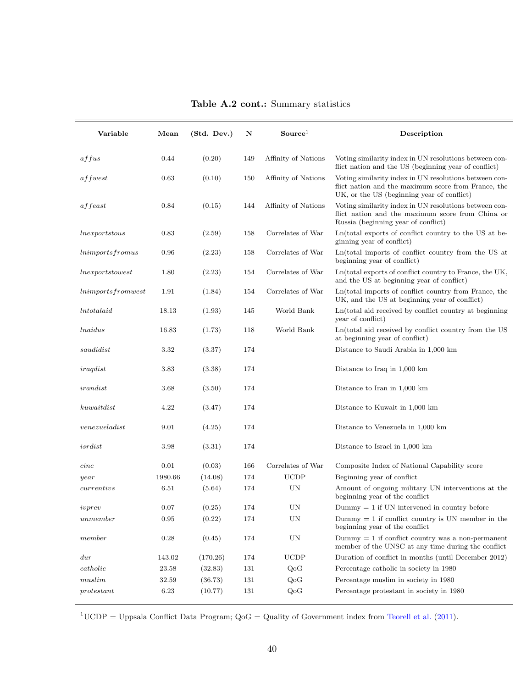| Variable            | Mean    | (Std. Dev.) | N   | Source <sup>1</sup> | Description                                                                                                                                                 |
|---------------------|---------|-------------|-----|---------------------|-------------------------------------------------------------------------------------------------------------------------------------------------------------|
| affus               | 0.44    | (0.20)      | 149 | Affinity of Nations | Voting similarity index in UN resolutions between con-<br>flict nation and the US (beginning year of conflict)                                              |
| affwest             | 0.63    | (0.10)      | 150 | Affinity of Nations | Voting similarity index in UN resolutions between con-<br>flict nation and the maximum score from France, the<br>UK, or the US (beginning year of conflict) |
| a f feast           | 0.84    | (0.15)      | 144 | Affinity of Nations | Voting similarity index in UN resolutions between con-<br>flict nation and the maximum score from China or<br>Russia (beginning year of conflict)           |
| $\ln\!exports$      | 0.83    | (2.59)      | 158 | Correlates of War   | Ln(total exports of conflict country to the US at be-<br>ginning year of conflict)                                                                          |
| lnimportsfromus     | 0.96    | (2.23)      | 158 | Correlates of War   | Ln(total imports of conflict country from the US at<br>beginning year of conflict)                                                                          |
| lnexportstowest     | 1.80    | (2.23)      | 154 | Correlates of War   | Ln(total exports of conflict country to France, the UK,<br>and the US at beginning year of conflict)                                                        |
| lnimports from west | 1.91    | (1.84)      | 154 | Correlates of War   | Ln(total imports of conflict country from France, the<br>UK, and the US at beginning year of conflict)                                                      |
| <i>Intotalaid</i>   | 18.13   | (1.93)      | 145 | World Bank          | Ln(total aid received by conflict country at beginning<br>year of conflict)                                                                                 |
| <i>lnaidus</i>      | 16.83   | (1.73)      | 118 | World Bank          | Ln(total aid received by conflict country from the US<br>at beginning year of conflict)                                                                     |
| saudidist           | 3.32    | (3.37)      | 174 |                     | Distance to Saudi Arabia in 1,000 km                                                                                                                        |
| iraqdist            | 3.83    | (3.38)      | 174 |                     | Distance to Iraq in 1,000 km                                                                                                                                |
| irandist            | 3.68    | (3.50)      | 174 |                     | Distance to Iran in 1,000 km                                                                                                                                |
| kuwaitdist          | 4.22    | (3.47)      | 174 |                     | Distance to Kuwait in 1,000 km                                                                                                                              |
| venezueladist       | 9.01    | (4.25)      | 174 |                     | Distance to Venezuela in 1,000 km                                                                                                                           |
| $is \, r \, dist$   | 3.98    | (3.31)      | 174 |                     | Distance to Israel in 1,000 km                                                                                                                              |
| cinc                | 0.01    | (0.03)      | 166 | Correlates of War   | Composite Index of National Capability score                                                                                                                |
| year                | 1980.66 | (14.08)     | 174 | <b>UCDP</b>         | Beginning year of conflict                                                                                                                                  |
| currentivs          | 6.51    | (5.64)      | 174 | UN                  | Amount of ongoing military UN interventions at the<br>beginning year of the conflict                                                                        |
| ivprev              | 0.07    | (0.25)      | 174 | UN                  | $Dummy = 1$ if UN intervened in country before                                                                                                              |
| unmember            | 0.95    | (0.22)      | 174 | UN                  | Dummy $= 1$ if conflict country is UN member in the<br>beginning year of the conflict                                                                       |
| member              | 0.28    | (0.45)      | 174 | UN                  | $Dummy = 1$ if conflict country was a non-permanent<br>member of the UNSC at any time during the conflict                                                   |
| $_{dur}$            | 143.02  | (170.26)    | 174 | UCDP                | Duration of conflict in months (until December 2012)                                                                                                        |
| catholic            | 23.58   | (32.83)     | 131 | QoG                 | Percentage catholic in society in 1980                                                                                                                      |
| muslim              | 32.59   | (36.73)     | 131 | QoG                 | Percentage muslim in society in 1980                                                                                                                        |
| protestant          | 6.23    | (10.77)     | 131 | QoG                 | Percentage protestant in society in 1980                                                                                                                    |

Table A.2 cont.: Summary statistics

<sup>1</sup>UCDP = Uppsala Conflict Data Program;  $Q_0G = Q$ uality of Government index from [Teorell et al.](#page-26-11) [\(2011\)](#page-26-11).